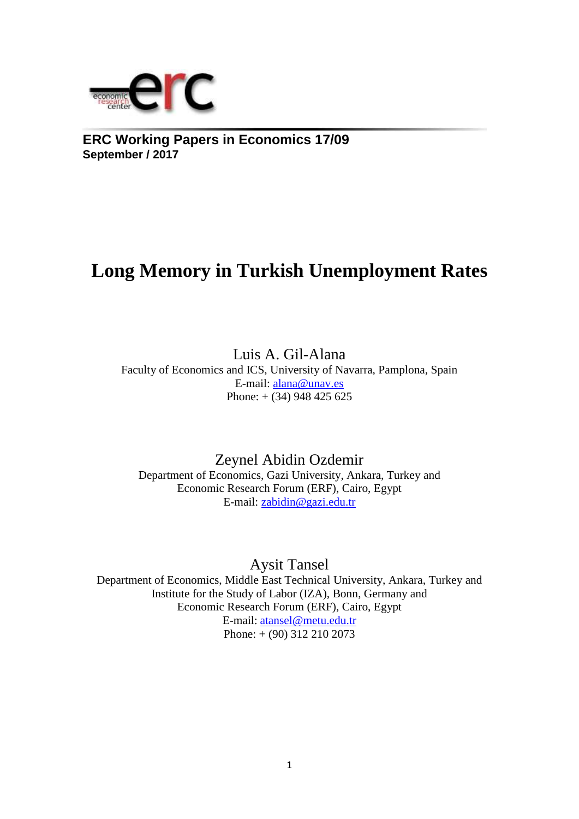

**ERC Working Papers in Economics 17/09 September / 2017**

# **Long Memory in Turkish Unemployment Rates**

Luis A. Gil-Alana Faculty of Economics and ICS, University of Navarra, Pamplona, Spain E-mail: [alana@unav.es](mailto:alana@unav.es) Phone:  $+$  (34) 948 425 625

Zeynel Abidin Ozdemir Department of Economics, Gazi University, Ankara, Turkey and Economic Research Forum (ERF), Cairo, Egypt E-mail: [zabidin@gazi.edu.tr](mailto:zabidin@gazi.edu.tr)

Aysit Tansel

Department of Economics, Middle East Technical University, Ankara, Turkey and Institute for the Study of Labor (IZA), Bonn, Germany and Economic Research Forum (ERF), Cairo, Egypt E-mail: [atansel@metu.edu.tr](mailto:atansel@metu.edu.tr) Phone: + (90) 312 210 2073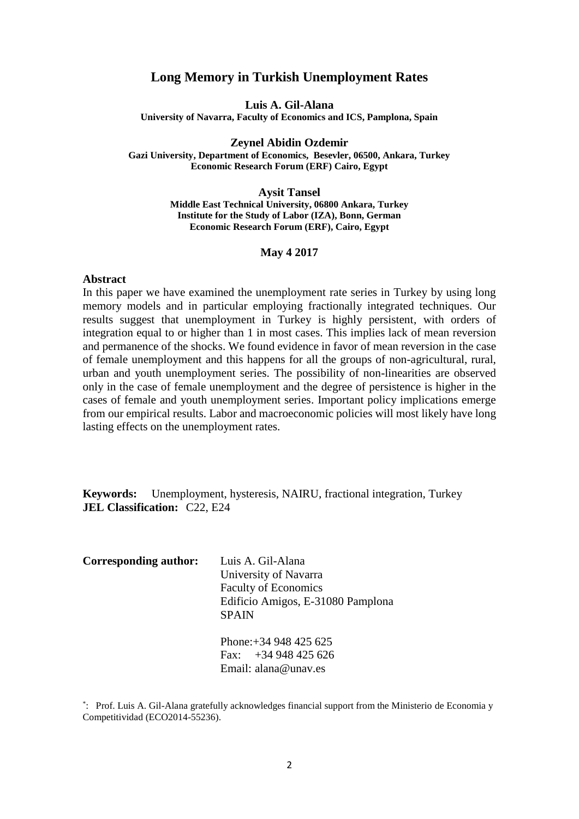# **Long Memory in Turkish Unemployment Rates**

**Luis A. Gil-Alana**

**University of Navarra, Faculty of Economics and ICS, Pamplona, Spain**

**Zeynel Abidin Ozdemir Gazi University, Department of Economics, Besevler, 06500, Ankara, Turkey Economic Research Forum (ERF) Cairo, Egypt**

**Aysit Tansel**

**Middle East Technical University, 06800 Ankara, Turkey Institute for the Study of Labor (IZA), Bonn, German Economic Research Forum (ERF), Cairo, Egypt**

#### **May 4 2017**

#### **Abstract**

In this paper we have examined the unemployment rate series in Turkey by using long memory models and in particular employing fractionally integrated techniques. Our results suggest that unemployment in Turkey is highly persistent, with orders of integration equal to or higher than 1 in most cases. This implies lack of mean reversion and permanence of the shocks. We found evidence in favor of mean reversion in the case of female unemployment and this happens for all the groups of non-agricultural, rural, urban and youth unemployment series. The possibility of non-linearities are observed only in the case of female unemployment and the degree of persistence is higher in the cases of female and youth unemployment series. Important policy implications emerge from our empirical results. Labor and macroeconomic policies will most likely have long lasting effects on the unemployment rates.

**Keywords:** Unemployment, hysteresis, NAIRU, fractional integration, Turkey **JEL Classification:** C22, E24

| Corresponding author: | Luis A. Gil-Alana                 |
|-----------------------|-----------------------------------|
|                       | University of Navarra             |
|                       | <b>Faculty of Economics</b>       |
|                       | Edificio Amigos, E-31080 Pamplona |
|                       | <b>SPAIN</b>                      |
|                       |                                   |
|                       | Phone: $+34948425625$             |

Fax: +34 948 425 626 Email: alana@unav.es

<sup>\*</sup> : Prof. Luis A. Gil-Alana gratefully acknowledges financial support from the Ministerio de Economia y Competitividad (ECO2014-55236).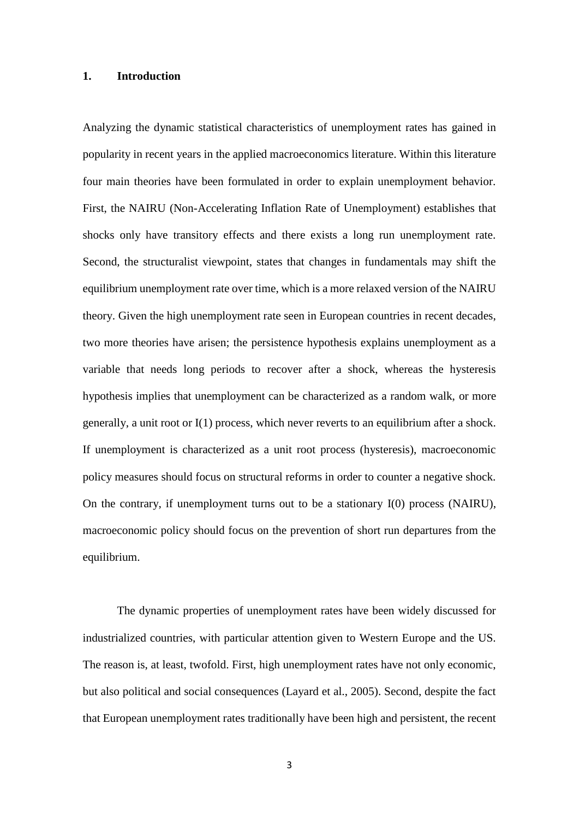## **1. Introduction**

Analyzing the dynamic statistical characteristics of unemployment rates has gained in popularity in recent years in the applied macroeconomics literature. Within this literature four main theories have been formulated in order to explain unemployment behavior. First, the NAIRU (Non-Accelerating Inflation Rate of Unemployment) establishes that shocks only have transitory effects and there exists a long run unemployment rate. Second, the structuralist viewpoint, states that changes in fundamentals may shift the equilibrium unemployment rate over time, which is a more relaxed version of the NAIRU theory. Given the high unemployment rate seen in European countries in recent decades, two more theories have arisen; the persistence hypothesis explains unemployment as a variable that needs long periods to recover after a shock, whereas the hysteresis hypothesis implies that unemployment can be characterized as a random walk, or more generally, a unit root or I(1) process, which never reverts to an equilibrium after a shock. If unemployment is characterized as a unit root process (hysteresis), macroeconomic policy measures should focus on structural reforms in order to counter a negative shock. On the contrary, if unemployment turns out to be a stationary I(0) process (NAIRU), macroeconomic policy should focus on the prevention of short run departures from the equilibrium.

The dynamic properties of unemployment rates have been widely discussed for industrialized countries, with particular attention given to Western Europe and the US. The reason is, at least, twofold. First, high unemployment rates have not only economic, but also political and social consequences (Layard et al., 2005). Second, despite the fact that European unemployment rates traditionally have been high and persistent, the recent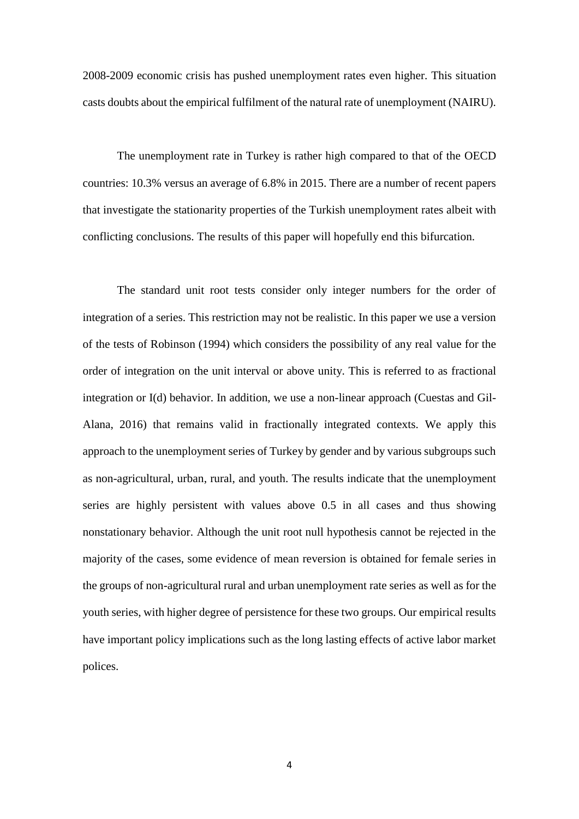2008-2009 economic crisis has pushed unemployment rates even higher. This situation casts doubts about the empirical fulfilment of the natural rate of unemployment (NAIRU).

The unemployment rate in Turkey is rather high compared to that of the OECD countries: 10.3% versus an average of 6.8% in 2015. There are a number of recent papers that investigate the stationarity properties of the Turkish unemployment rates albeit with conflicting conclusions. The results of this paper will hopefully end this bifurcation.

The standard unit root tests consider only integer numbers for the order of integration of a series. This restriction may not be realistic. In this paper we use a version of the tests of Robinson (1994) which considers the possibility of any real value for the order of integration on the unit interval or above unity. This is referred to as fractional integration or I(d) behavior. In addition, we use a non-linear approach (Cuestas and Gil-Alana, 2016) that remains valid in fractionally integrated contexts. We apply this approach to the unemployment series of Turkey by gender and by various subgroups such as non-agricultural, urban, rural, and youth. The results indicate that the unemployment series are highly persistent with values above 0.5 in all cases and thus showing nonstationary behavior. Although the unit root null hypothesis cannot be rejected in the majority of the cases, some evidence of mean reversion is obtained for female series in the groups of non-agricultural rural and urban unemployment rate series as well as for the youth series, with higher degree of persistence for these two groups. Our empirical results have important policy implications such as the long lasting effects of active labor market polices.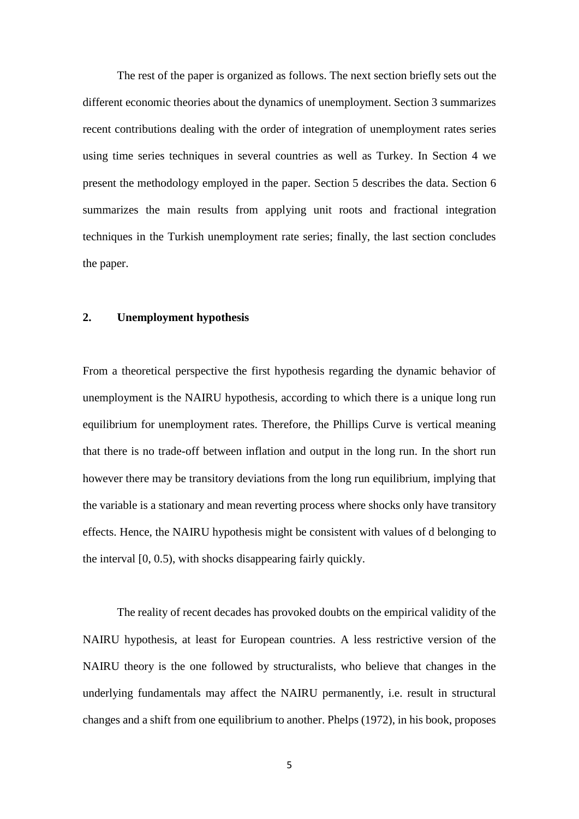The rest of the paper is organized as follows. The next section briefly sets out the different economic theories about the dynamics of unemployment. Section 3 summarizes recent contributions dealing with the order of integration of unemployment rates series using time series techniques in several countries as well as Turkey. In Section 4 we present the methodology employed in the paper. Section 5 describes the data. Section 6 summarizes the main results from applying unit roots and fractional integration techniques in the Turkish unemployment rate series; finally, the last section concludes the paper.

# **2. Unemployment hypothesis**

From a theoretical perspective the first hypothesis regarding the dynamic behavior of unemployment is the NAIRU hypothesis, according to which there is a unique long run equilibrium for unemployment rates. Therefore, the Phillips Curve is vertical meaning that there is no trade-off between inflation and output in the long run. In the short run however there may be transitory deviations from the long run equilibrium, implying that the variable is a stationary and mean reverting process where shocks only have transitory effects. Hence, the NAIRU hypothesis might be consistent with values of d belonging to the interval [0, 0.5), with shocks disappearing fairly quickly.

The reality of recent decades has provoked doubts on the empirical validity of the NAIRU hypothesis, at least for European countries. A less restrictive version of the NAIRU theory is the one followed by structuralists, who believe that changes in the underlying fundamentals may affect the NAIRU permanently, i.e. result in structural changes and a shift from one equilibrium to another. Phelps (1972), in his book, proposes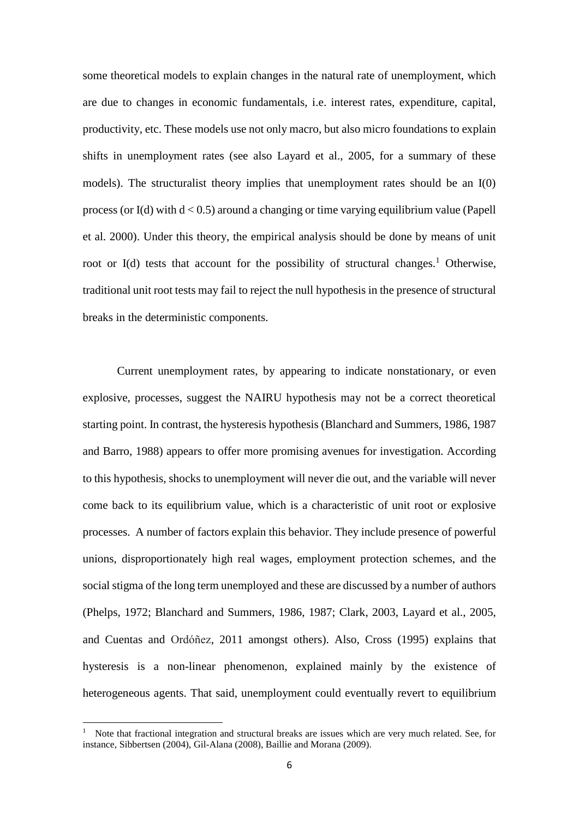some theoretical models to explain changes in the natural rate of unemployment, which are due to changes in economic fundamentals, i.e. interest rates, expenditure, capital, productivity, etc. These models use not only macro, but also micro foundations to explain shifts in unemployment rates (see also Layard et al., 2005, for a summary of these models). The structuralist theory implies that unemployment rates should be an I(0) process (or I(d) with  $d < 0.5$ ) around a changing or time varying equilibrium value (Papell et al. 2000). Under this theory, the empirical analysis should be done by means of unit root or I(d) tests that account for the possibility of structural changes.<sup>1</sup> Otherwise, traditional unit root tests may fail to reject the null hypothesis in the presence of structural breaks in the deterministic components.

Current unemployment rates, by appearing to indicate nonstationary, or even explosive, processes, suggest the NAIRU hypothesis may not be a correct theoretical starting point. In contrast, the hysteresis hypothesis (Blanchard and Summers, 1986, 1987 and Barro, 1988) appears to offer more promising avenues for investigation. According to this hypothesis, shocks to unemployment will never die out, and the variable will never come back to its equilibrium value, which is a characteristic of unit root or explosive processes. A number of factors explain this behavior. They include presence of powerful unions, disproportionately high real wages, employment protection schemes, and the social stigma of the long term unemployed and these are discussed by a number of authors (Phelps, 1972; Blanchard and Summers, 1986, 1987; Clark, 2003, Layard et al., 2005, and Cuentas and Ordóñez, 2011 amongst others). Also, Cross (1995) explains that hysteresis is a non-linear phenomenon, explained mainly by the existence of heterogeneous agents. That said, unemployment could eventually revert to equilibrium

**.** 

<sup>1</sup> Note that fractional integration and structural breaks are issues which are very much related. See, for instance, Sibbertsen (2004), Gil-Alana (2008), Baillie and Morana (2009).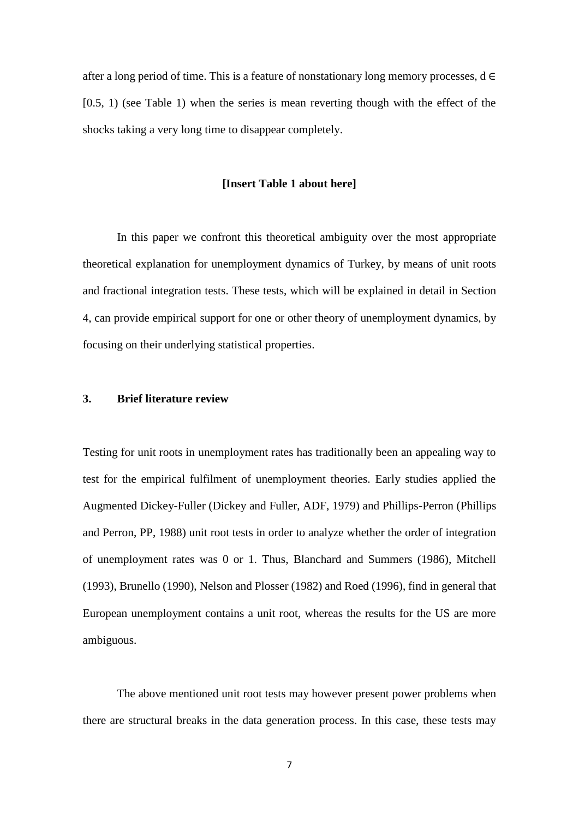after a long period of time. This is a feature of nonstationary long memory processes,  $d \in$  $[0.5, 1)$  (see Table 1) when the series is mean reverting though with the effect of the shocks taking a very long time to disappear completely.

#### **[Insert Table 1 about here]**

In this paper we confront this theoretical ambiguity over the most appropriate theoretical explanation for unemployment dynamics of Turkey, by means of unit roots and fractional integration tests. These tests, which will be explained in detail in Section 4, can provide empirical support for one or other theory of unemployment dynamics, by focusing on their underlying statistical properties.

# **3. Brief literature review**

Testing for unit roots in unemployment rates has traditionally been an appealing way to test for the empirical fulfilment of unemployment theories. Early studies applied the Augmented Dickey-Fuller (Dickey and Fuller, ADF, 1979) and Phillips-Perron (Phillips and Perron, PP, 1988) unit root tests in order to analyze whether the order of integration of unemployment rates was 0 or 1. Thus, Blanchard and Summers (1986), Mitchell (1993), Brunello (1990), Nelson and Plosser (1982) and Roed (1996), find in general that European unemployment contains a unit root, whereas the results for the US are more ambiguous.

The above mentioned unit root tests may however present power problems when there are structural breaks in the data generation process. In this case, these tests may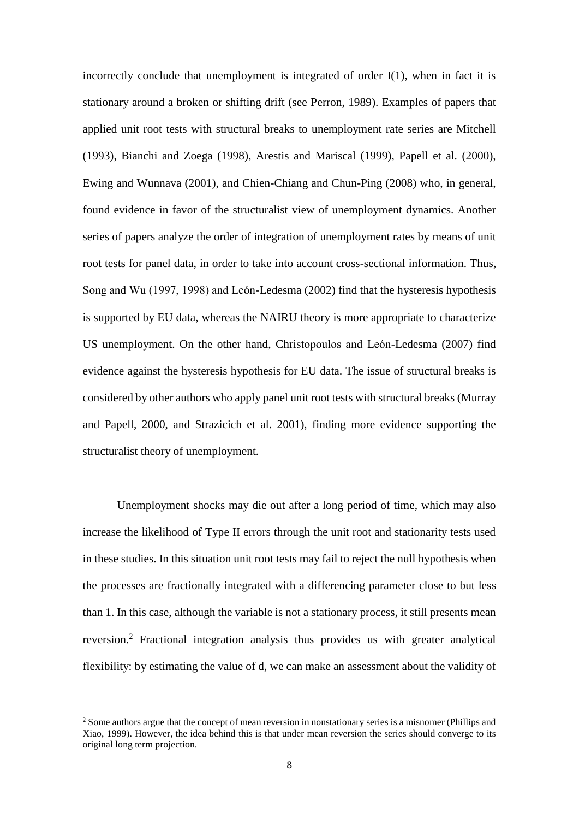incorrectly conclude that unemployment is integrated of order I(1), when in fact it is stationary around a broken or shifting drift (see Perron, 1989). Examples of papers that applied unit root tests with structural breaks to unemployment rate series are Mitchell (1993), Bianchi and Zoega (1998), Arestis and Mariscal (1999), Papell et al. (2000), Ewing and Wunnava (2001), and Chien-Chiang and Chun-Ping (2008) who, in general, found evidence in favor of the structuralist view of unemployment dynamics. Another series of papers analyze the order of integration of unemployment rates by means of unit root tests for panel data, in order to take into account cross-sectional information. Thus, Song and Wu (1997, 1998) and León-Ledesma (2002) find that the hysteresis hypothesis is supported by EU data, whereas the NAIRU theory is more appropriate to characterize US unemployment. On the other hand, Christopoulos and León-Ledesma (2007) find evidence against the hysteresis hypothesis for EU data. The issue of structural breaks is considered by other authors who apply panel unit root tests with structural breaks (Murray and Papell, 2000, and Strazicich et al. 2001), finding more evidence supporting the structuralist theory of unemployment.

Unemployment shocks may die out after a long period of time, which may also increase the likelihood of Type II errors through the unit root and stationarity tests used in these studies. In this situation unit root tests may fail to reject the null hypothesis when the processes are fractionally integrated with a differencing parameter close to but less than 1. In this case, although the variable is not a stationary process, it still presents mean reversion.<sup>2</sup> Fractional integration analysis thus provides us with greater analytical flexibility: by estimating the value of d, we can make an assessment about the validity of

1

<sup>&</sup>lt;sup>2</sup> Some authors argue that the concept of mean reversion in nonstationary series is a misnomer (Phillips and Xiao, 1999). However, the idea behind this is that under mean reversion the series should converge to its original long term projection.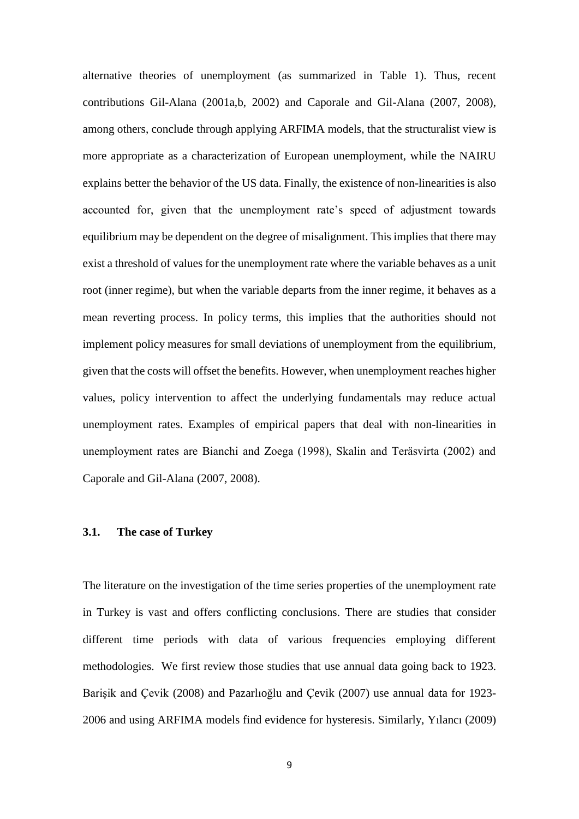alternative theories of unemployment (as summarized in Table 1). Thus, recent contributions Gil-Alana (2001a,b, 2002) and Caporale and Gil-Alana (2007, 2008), among others, conclude through applying ARFIMA models, that the structuralist view is more appropriate as a characterization of European unemployment, while the NAIRU explains better the behavior of the US data. Finally, the existence of non-linearities is also accounted for, given that the unemployment rate's speed of adjustment towards equilibrium may be dependent on the degree of misalignment. This implies that there may exist a threshold of values for the unemployment rate where the variable behaves as a unit root (inner regime), but when the variable departs from the inner regime, it behaves as a mean reverting process. In policy terms, this implies that the authorities should not implement policy measures for small deviations of unemployment from the equilibrium, given that the costs will offset the benefits. However, when unemployment reaches higher values, policy intervention to affect the underlying fundamentals may reduce actual unemployment rates. Examples of empirical papers that deal with non-linearities in unemployment rates are Bianchi and Zoega (1998), Skalin and Teräsvirta (2002) and Caporale and Gil-Alana (2007, 2008).

## **3.1. The case of Turkey**

The literature on the investigation of the time series properties of the unemployment rate in Turkey is vast and offers conflicting conclusions. There are studies that consider different time periods with data of various frequencies employing different methodologies. We first review those studies that use annual data going back to 1923. Barişik and Çevik (2008) and Pazarlıoğlu and Çevik (2007) use annual data for 1923- 2006 and using ARFIMA models find evidence for hysteresis. Similarly, Yılancı (2009)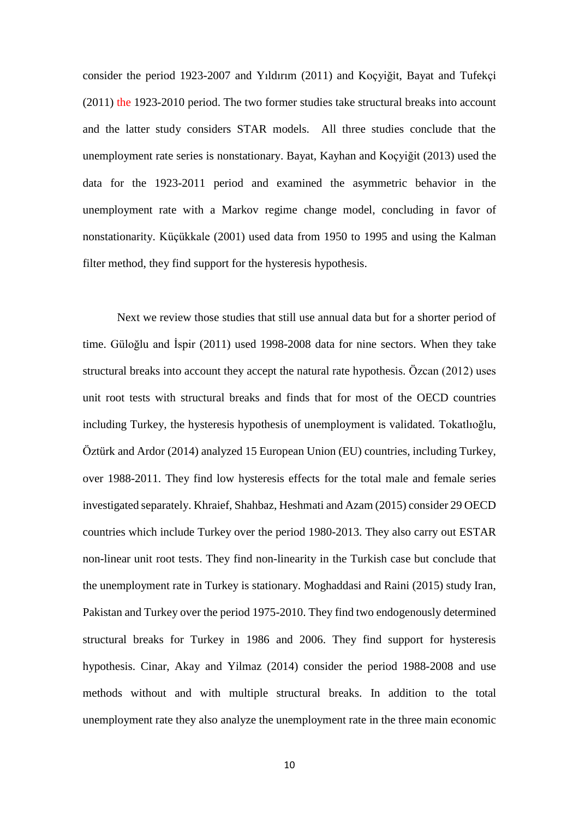consider the period 1923-2007 and Yıldırım (2011) and Koçyiğit, Bayat and Tufekçi (2011) the 1923-2010 period. The two former studies take structural breaks into account and the latter study considers STAR models. All three studies conclude that the unemployment rate series is nonstationary. Bayat, Kayhan and Koçyiğit (2013) used the data for the 1923-2011 period and examined the asymmetric behavior in the unemployment rate with a Markov regime change model, concluding in favor of nonstationarity. Küçükkale (2001) used data from 1950 to 1995 and using the Kalman filter method, they find support for the hysteresis hypothesis.

Next we review those studies that still use annual data but for a shorter period of time. Güloğlu and İspir (2011) used 1998-2008 data for nine sectors. When they take structural breaks into account they accept the natural rate hypothesis. Özcan (2012) uses unit root tests with structural breaks and finds that for most of the OECD countries including Turkey, the hysteresis hypothesis of unemployment is validated. Tokatlıoğlu, Öztürk and Ardor (2014) analyzed 15 European Union (EU) countries, including Turkey, over 1988-2011. They find low hysteresis effects for the total male and female series investigated separately. Khraief, Shahbaz, Heshmati and Azam (2015) consider 29 OECD countries which include Turkey over the period 1980-2013. They also carry out ESTAR non-linear unit root tests. They find non-linearity in the Turkish case but conclude that the unemployment rate in Turkey is stationary. Moghaddasi and Raini (2015) study Iran, Pakistan and Turkey over the period 1975-2010. They find two endogenously determined structural breaks for Turkey in 1986 and 2006. They find support for hysteresis hypothesis. Cinar, Akay and Yilmaz (2014) consider the period 1988-2008 and use methods without and with multiple structural breaks. In addition to the total unemployment rate they also analyze the unemployment rate in the three main economic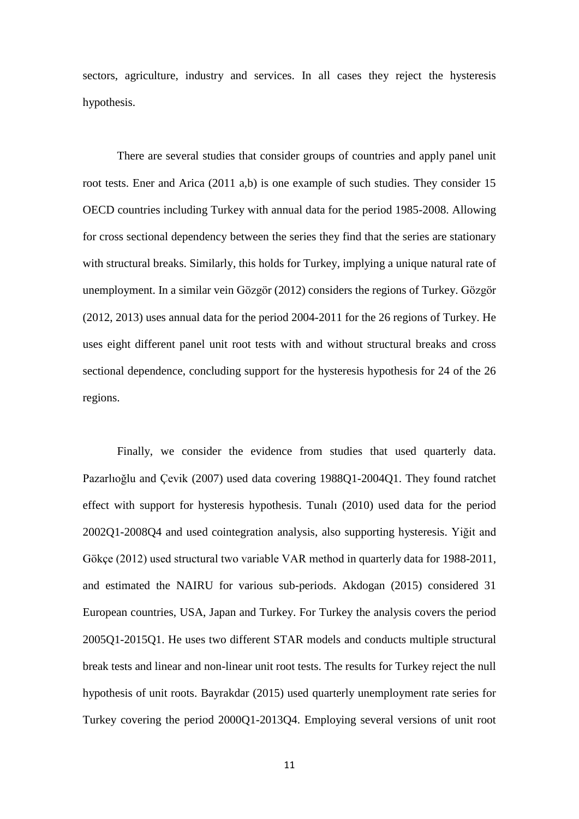sectors, agriculture, industry and services. In all cases they reject the hysteresis hypothesis.

There are several studies that consider groups of countries and apply panel unit root tests. Ener and Arica (2011 a,b) is one example of such studies. They consider 15 OECD countries including Turkey with annual data for the period 1985-2008. Allowing for cross sectional dependency between the series they find that the series are stationary with structural breaks. Similarly, this holds for Turkey, implying a unique natural rate of unemployment. In a similar vein Gözgör (2012) considers the regions of Turkey. Gözgör (2012, 2013) uses annual data for the period 2004-2011 for the 26 regions of Turkey. He uses eight different panel unit root tests with and without structural breaks and cross sectional dependence, concluding support for the hysteresis hypothesis for 24 of the 26 regions.

Finally, we consider the evidence from studies that used quarterly data. Pazarlıoğlu and Çevik (2007) used data covering 1988Q1-2004Q1. They found ratchet effect with support for hysteresis hypothesis. Tunalı (2010) used data for the period 2002Q1-2008Q4 and used cointegration analysis, also supporting hysteresis. Yiğit and Gökçe (2012) used structural two variable VAR method in quarterly data for 1988-2011, and estimated the NAIRU for various sub-periods. Akdogan (2015) considered 31 European countries, USA, Japan and Turkey. For Turkey the analysis covers the period 2005Q1-2015Q1. He uses two different STAR models and conducts multiple structural break tests and linear and non-linear unit root tests. The results for Turkey reject the null hypothesis of unit roots. Bayrakdar (2015) used quarterly unemployment rate series for Turkey covering the period 2000Q1-2013Q4. Employing several versions of unit root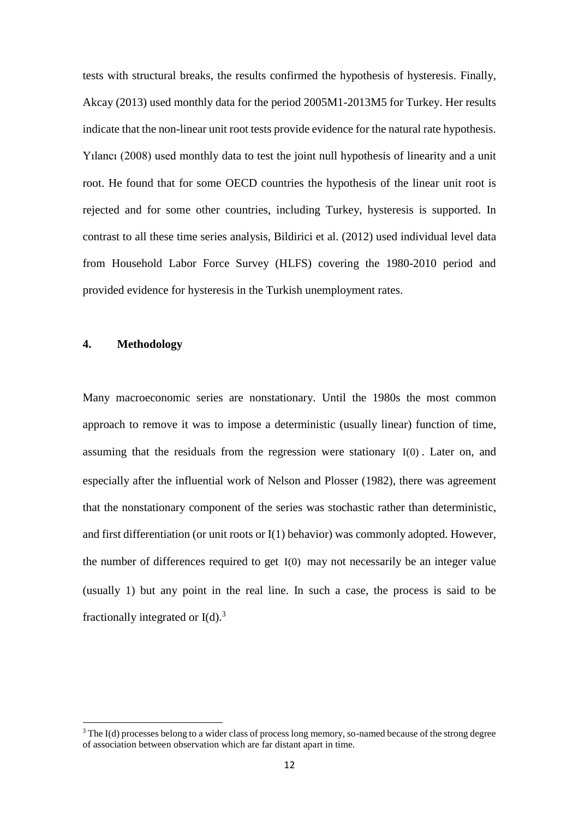tests with structural breaks, the results confirmed the hypothesis of hysteresis. Finally, Akcay (2013) used monthly data for the period 2005M1-2013M5 for Turkey. Her results indicate that the non-linear unit root tests provide evidence for the natural rate hypothesis. Yılancı (2008) used monthly data to test the joint null hypothesis of linearity and a unit root. He found that for some OECD countries the hypothesis of the linear unit root is rejected and for some other countries, including Turkey, hysteresis is supported. In contrast to all these time series analysis, Bildirici et al. (2012) used individual level data from Household Labor Force Survey (HLFS) covering the 1980-2010 period and provided evidence for hysteresis in the Turkish unemployment rates.

#### **4. Methodology**

**.** 

Many macroeconomic series are nonstationary. Until the 1980s the most common approach to remove it was to impose a deterministic (usually linear) function of time, assuming that the residuals from the regression were stationary I(0) . Later on, and especially after the influential work of Nelson and Plosser (1982), there was agreement that the nonstationary component of the series was stochastic rather than deterministic, and first differentiation (or unit roots or I(1) behavior) was commonly adopted. However, the number of differences required to get I(0) may not necessarily be an integer value (usually 1) but any point in the real line. In such a case, the process is said to be fractionally integrated or  $I(d)$ .<sup>3</sup>

<sup>3</sup> The I(d) processes belong to a wider class of process long memory, so-named because of the strong degree of association between observation which are far distant apart in time.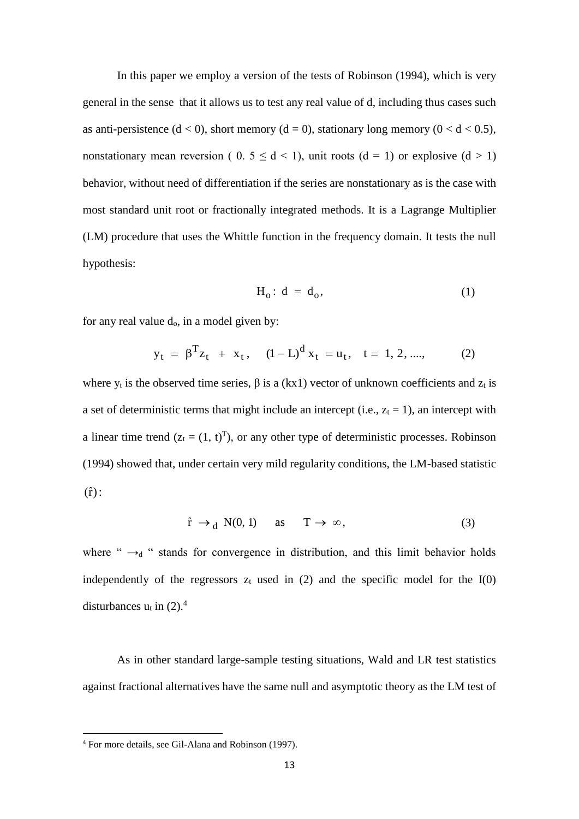In this paper we employ a version of the tests of Robinson (1994), which is very general in the sense that it allows us to test any real value of d, including thus cases such as anti-persistence  $(d < 0)$ , short memory  $(d = 0)$ , stationary long memory  $(0 < d < 0.5)$ , nonstationary mean reversion (  $0.5 \le d \le 1$ ), unit roots ( $d = 1$ ) or explosive ( $d > 1$ ) behavior, without need of differentiation if the series are nonstationary as is the case with most standard unit root or fractionally integrated methods. It is a Lagrange Multiplier (LM) procedure that uses the Whittle function in the frequency domain. It tests the null hypothesis:

$$
H_0: d = d_0, \tag{1}
$$

for any real value  $d_0$ , in a model given by:

$$
y_t = \beta^T z_t + x_t
$$
,  $(1 - L)^d x_t = u_t$ ,  $t = 1, 2, \dots$ , (2)

where  $y_t$  is the observed time series,  $\beta$  is a (kx1) vector of unknown coefficients and  $z_t$  is a set of deterministic terms that might include an intercept (i.e.,  $z_t = 1$ ), an intercept with a linear time trend  $(z_t = (1, t)^T)$ , or any other type of deterministic processes. Robinson (1994) showed that, under certain very mild regularity conditions, the LM-based statistic  $(\hat{\textbf{r}})$  :

$$
\hat{r} \to_d N(0, 1) \quad \text{as} \quad T \to \infty,
$$
 (3)

where " $\rightarrow_d$  " stands for convergence in distribution, and this limit behavior holds independently of the regressors  $z_t$  used in (2) and the specific model for the  $I(0)$ disturbances  $u_t$  in (2).<sup>4</sup>

As in other standard large-sample testing situations, Wald and LR test statistics against fractional alternatives have the same null and asymptotic theory as the LM test of

**.** 

<sup>4</sup> For more details, see Gil-Alana and Robinson (1997).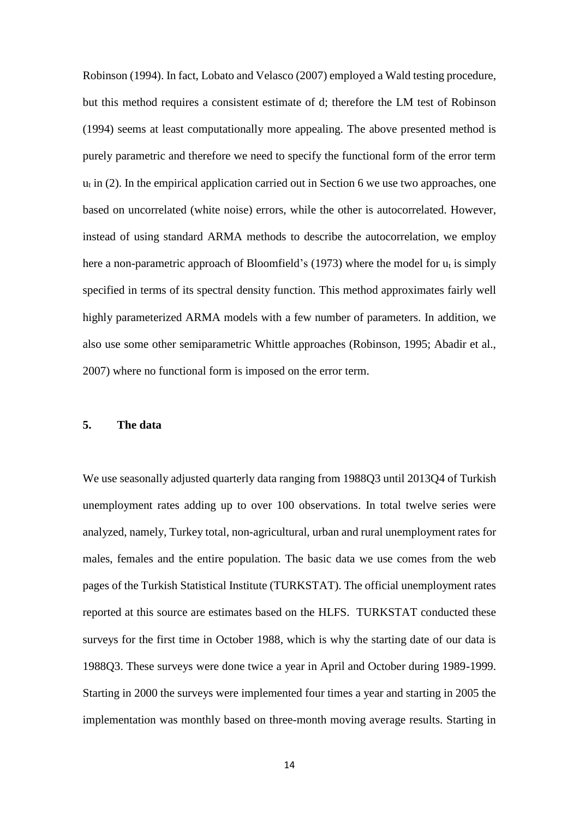Robinson (1994). In fact, Lobato and Velasco (2007) employed a Wald testing procedure, but this method requires a consistent estimate of d; therefore the LM test of Robinson (1994) seems at least computationally more appealing. The above presented method is purely parametric and therefore we need to specify the functional form of the error term  $u_t$  in (2). In the empirical application carried out in Section 6 we use two approaches, one based on uncorrelated (white noise) errors, while the other is autocorrelated. However, instead of using standard ARMA methods to describe the autocorrelation, we employ here a non-parametric approach of Bloomfield's (1973) where the model for  $u_t$  is simply specified in terms of its spectral density function. This method approximates fairly well highly parameterized ARMA models with a few number of parameters. In addition, we also use some other semiparametric Whittle approaches (Robinson, 1995; Abadir et al., 2007) where no functional form is imposed on the error term.

## **5. The data**

We use seasonally adjusted quarterly data ranging from 1988Q3 until 2013Q4 of Turkish unemployment rates adding up to over 100 observations. In total twelve series were analyzed, namely, Turkey total, non-agricultural, urban and rural unemployment rates for males, females and the entire population. The basic data we use comes from the web pages of the Turkish Statistical Institute (TURKSTAT). The official unemployment rates reported at this source are estimates based on the HLFS. TURKSTAT conducted these surveys for the first time in October 1988, which is why the starting date of our data is 1988Q3. These surveys were done twice a year in April and October during 1989-1999. Starting in 2000 the surveys were implemented four times a year and starting in 2005 the implementation was monthly based on three-month moving average results. Starting in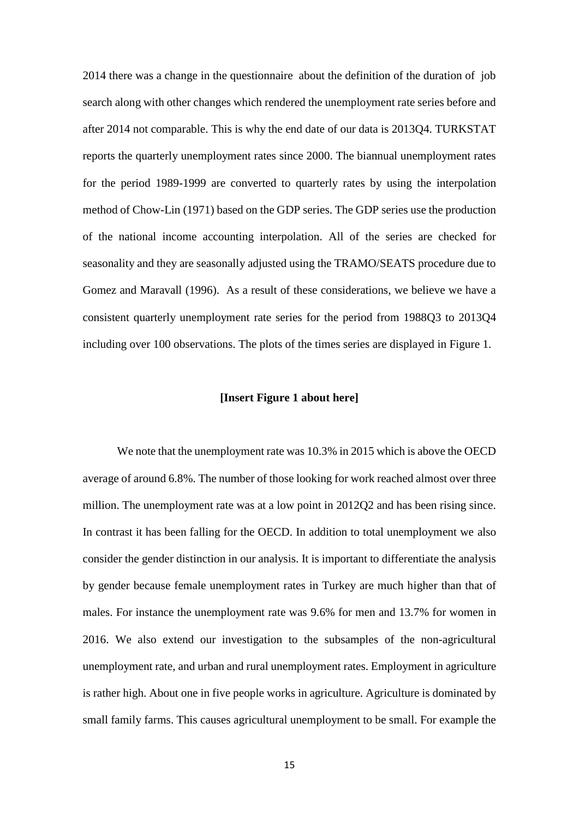2014 there was a change in the questionnaire about the definition of the duration of job search along with other changes which rendered the unemployment rate series before and after 2014 not comparable. This is why the end date of our data is 2013Q4. TURKSTAT reports the quarterly unemployment rates since 2000. The biannual unemployment rates for the period 1989-1999 are converted to quarterly rates by using the interpolation method of Chow-Lin (1971) based on the GDP series. The GDP series use the production of the national income accounting interpolation. All of the series are checked for seasonality and they are seasonally adjusted using the TRAMO/SEATS procedure due to Gomez and Maravall (1996). As a result of these considerations, we believe we have a consistent quarterly unemployment rate series for the period from 1988Q3 to 2013Q4 including over 100 observations. The plots of the times series are displayed in Figure 1.

### **[Insert Figure 1 about here]**

We note that the unemployment rate was 10.3% in 2015 which is above the OECD average of around 6.8%. The number of those looking for work reached almost over three million. The unemployment rate was at a low point in 2012Q2 and has been rising since. In contrast it has been falling for the OECD. In addition to total unemployment we also consider the gender distinction in our analysis. It is important to differentiate the analysis by gender because female unemployment rates in Turkey are much higher than that of males. For instance the unemployment rate was 9.6% for men and 13.7% for women in 2016. We also extend our investigation to the subsamples of the non-agricultural unemployment rate, and urban and rural unemployment rates. Employment in agriculture is rather high. About one in five people works in agriculture. Agriculture is dominated by small family farms. This causes agricultural unemployment to be small. For example the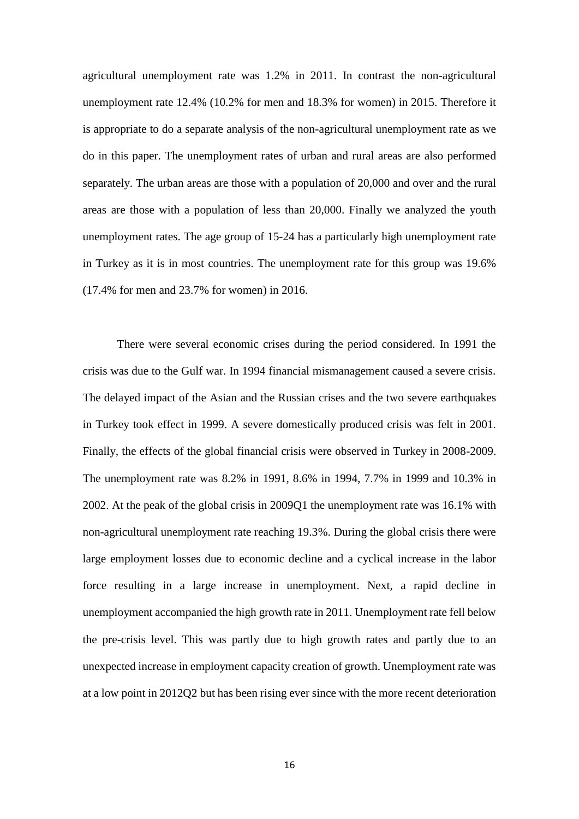agricultural unemployment rate was 1.2% in 2011. In contrast the non-agricultural unemployment rate 12.4% (10.2% for men and 18.3% for women) in 2015. Therefore it is appropriate to do a separate analysis of the non-agricultural unemployment rate as we do in this paper. The unemployment rates of urban and rural areas are also performed separately. The urban areas are those with a population of 20,000 and over and the rural areas are those with a population of less than 20,000. Finally we analyzed the youth unemployment rates. The age group of 15-24 has a particularly high unemployment rate in Turkey as it is in most countries. The unemployment rate for this group was 19.6% (17.4% for men and 23.7% for women) in 2016.

There were several economic crises during the period considered. In 1991 the crisis was due to the Gulf war. In 1994 financial mismanagement caused a severe crisis. The delayed impact of the Asian and the Russian crises and the two severe earthquakes in Turkey took effect in 1999. A severe domestically produced crisis was felt in 2001. Finally, the effects of the global financial crisis were observed in Turkey in 2008-2009. The unemployment rate was 8.2% in 1991, 8.6% in 1994, 7.7% in 1999 and 10.3% in 2002. At the peak of the global crisis in 2009Q1 the unemployment rate was 16.1% with non-agricultural unemployment rate reaching 19.3%. During the global crisis there were large employment losses due to economic decline and a cyclical increase in the labor force resulting in a large increase in unemployment. Next, a rapid decline in unemployment accompanied the high growth rate in 2011. Unemployment rate fell below the pre-crisis level. This was partly due to high growth rates and partly due to an unexpected increase in employment capacity creation of growth. Unemployment rate was at a low point in 2012Q2 but has been rising ever since with the more recent deterioration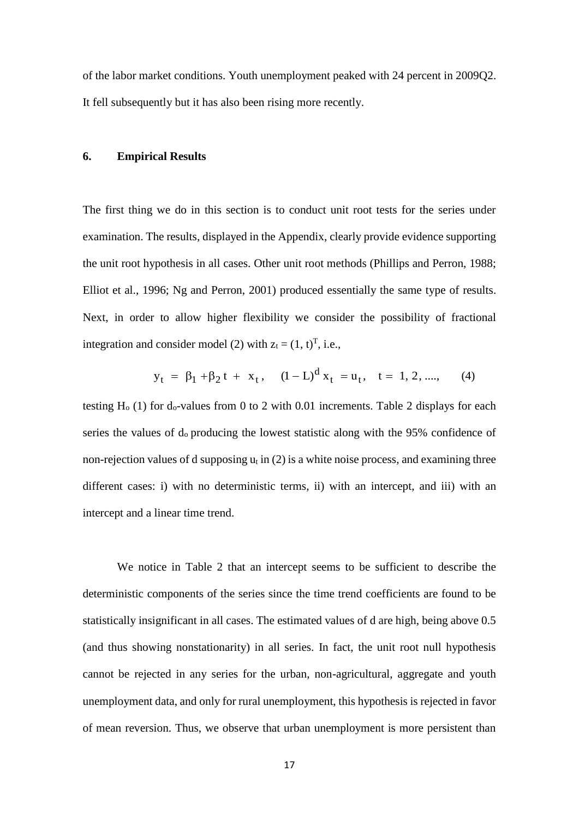of the labor market conditions. Youth unemployment peaked with 24 percent in 2009Q2. It fell subsequently but it has also been rising more recently.

## **6. Empirical Results**

The first thing we do in this section is to conduct unit root tests for the series under examination. The results, displayed in the Appendix, clearly provide evidence supporting the unit root hypothesis in all cases. Other unit root methods (Phillips and Perron, 1988; Elliot et al., 1996; Ng and Perron, 2001) produced essentially the same type of results. Next, in order to allow higher flexibility we consider the possibility of fractional integration and consider model (2) with  $z_t = (1, t)^T$ , i.e.,

$$
y_t = \beta_1 + \beta_2 t + x_t
$$
,  $(1 - L)^{d} x_t = u_t$ ,  $t = 1, 2, \dots$ , (4)

testing  $H_0$  (1) for  $d_0$ -values from 0 to 2 with 0.01 increments. Table 2 displays for each series the values of  $d_0$  producing the lowest statistic along with the 95% confidence of non-rejection values of d supposing  $u_t$  in (2) is a white noise process, and examining three different cases: i) with no deterministic terms, ii) with an intercept, and iii) with an intercept and a linear time trend.

We notice in Table 2 that an intercept seems to be sufficient to describe the deterministic components of the series since the time trend coefficients are found to be statistically insignificant in all cases. The estimated values of d are high, being above 0.5 (and thus showing nonstationarity) in all series. In fact, the unit root null hypothesis cannot be rejected in any series for the urban, non-agricultural, aggregate and youth unemployment data, and only for rural unemployment, this hypothesis is rejected in favor of mean reversion. Thus, we observe that urban unemployment is more persistent than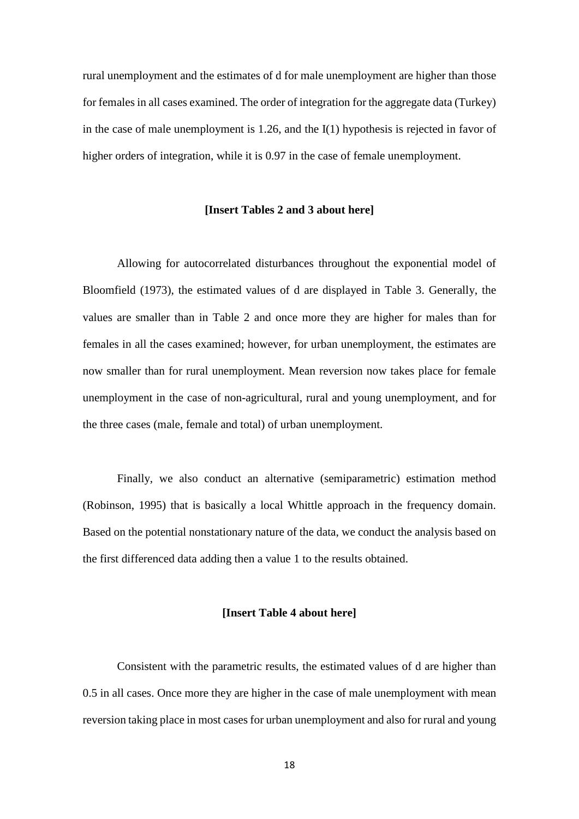rural unemployment and the estimates of d for male unemployment are higher than those for females in all cases examined. The order of integration for the aggregate data (Turkey) in the case of male unemployment is 1.26, and the I(1) hypothesis is rejected in favor of higher orders of integration, while it is 0.97 in the case of female unemployment.

#### **[Insert Tables 2 and 3 about here]**

Allowing for autocorrelated disturbances throughout the exponential model of Bloomfield (1973), the estimated values of d are displayed in Table 3. Generally, the values are smaller than in Table 2 and once more they are higher for males than for females in all the cases examined; however, for urban unemployment, the estimates are now smaller than for rural unemployment. Mean reversion now takes place for female unemployment in the case of non-agricultural, rural and young unemployment, and for the three cases (male, female and total) of urban unemployment.

Finally, we also conduct an alternative (semiparametric) estimation method (Robinson, 1995) that is basically a local Whittle approach in the frequency domain. Based on the potential nonstationary nature of the data, we conduct the analysis based on the first differenced data adding then a value 1 to the results obtained.

### **[Insert Table 4 about here]**

Consistent with the parametric results, the estimated values of d are higher than 0.5 in all cases. Once more they are higher in the case of male unemployment with mean reversion taking place in most cases for urban unemployment and also for rural and young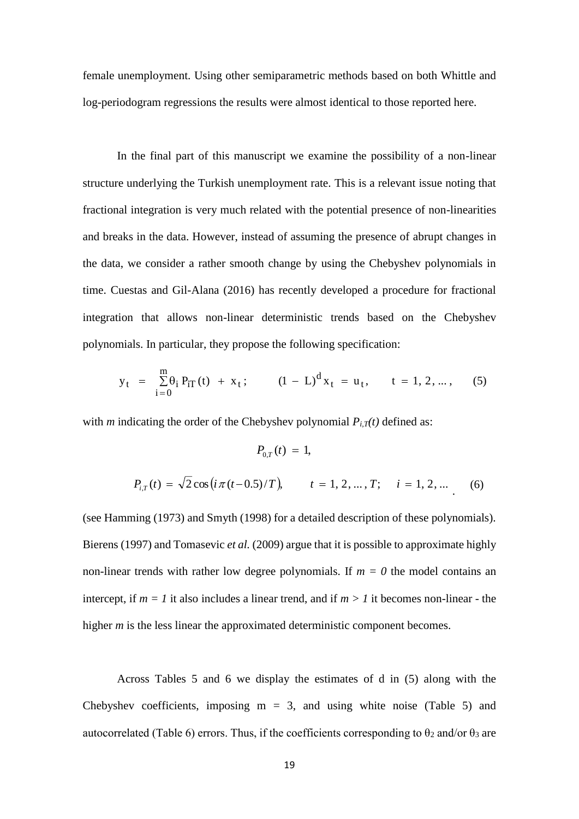female unemployment. Using other semiparametric methods based on both Whittle and log-periodogram regressions the results were almost identical to those reported here.

In the final part of this manuscript we examine the possibility of a non-linear structure underlying the Turkish unemployment rate. This is a relevant issue noting that fractional integration is very much related with the potential presence of non-linearities and breaks in the data. However, instead of assuming the presence of abrupt changes in the data, we consider a rather smooth change by using the Chebyshev polynomials in time. Cuestas and Gil-Alana (2016) has recently developed a procedure for fractional integration that allows non-linear deterministic trends based on the Chebyshev polynomials. In particular, they propose the following specification:

$$
y_{t} = \sum_{i=0}^{m} \theta_{i} P_{iT}(t) + x_{t}; \qquad (1 - L)^{d} x_{t} = u_{t}, \qquad t = 1, 2, ..., \qquad (5)
$$

with *m* indicating the order of the Chebyshev polynomial  $P_{i,T}(t)$  defined as:

$$
P_{0,T}(t) = 1,
$$
  
\n
$$
P_{i,T}(t) = \sqrt{2} \cos\left(i\pi(t-0.5)/T\right), \qquad t = 1, 2, ..., T; \quad i = 1, 2, ...
$$
 (6)

(see Hamming (1973) and Smyth (1998) for a detailed description of these polynomials). Bierens (1997) and Tomasevic *et al.* (2009) argue that it is possible to approximate highly non-linear trends with rather low degree polynomials. If  $m = 0$  the model contains an intercept, if  $m = 1$  it also includes a linear trend, and if  $m > 1$  it becomes non-linear - the higher *m* is the less linear the approximated deterministic component becomes.

Across Tables 5 and 6 we display the estimates of d in (5) along with the Chebyshev coefficients, imposing  $m = 3$ , and using white noise (Table 5) and autocorrelated (Table 6) errors. Thus, if the coefficients corresponding to  $\theta_2$  and/or  $\theta_3$  are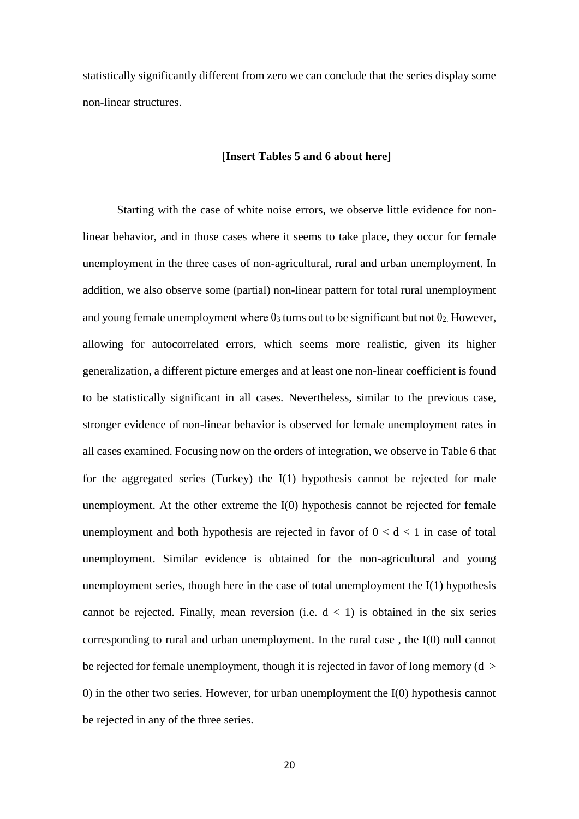statistically significantly different from zero we can conclude that the series display some non-linear structures.

#### **[Insert Tables 5 and 6 about here]**

Starting with the case of white noise errors, we observe little evidence for nonlinear behavior, and in those cases where it seems to take place, they occur for female unemployment in the three cases of non-agricultural, rural and urban unemployment. In addition, we also observe some (partial) non-linear pattern for total rural unemployment and young female unemployment where  $\theta_3$  turns out to be significant but not  $\theta_2$ . However, allowing for autocorrelated errors, which seems more realistic, given its higher generalization, a different picture emerges and at least one non-linear coefficient is found to be statistically significant in all cases. Nevertheless, similar to the previous case, stronger evidence of non-linear behavior is observed for female unemployment rates in all cases examined. Focusing now on the orders of integration, we observe in Table 6 that for the aggregated series (Turkey) the I(1) hypothesis cannot be rejected for male unemployment. At the other extreme the I(0) hypothesis cannot be rejected for female unemployment and both hypothesis are rejected in favor of  $0 < d < 1$  in case of total unemployment. Similar evidence is obtained for the non-agricultural and young unemployment series, though here in the case of total unemployment the I(1) hypothesis cannot be rejected. Finally, mean reversion (i.e.  $d < 1$ ) is obtained in the six series corresponding to rural and urban unemployment. In the rural case , the I(0) null cannot be rejected for female unemployment, though it is rejected in favor of long memory ( $d >$ 0) in the other two series. However, for urban unemployment the I(0) hypothesis cannot be rejected in any of the three series.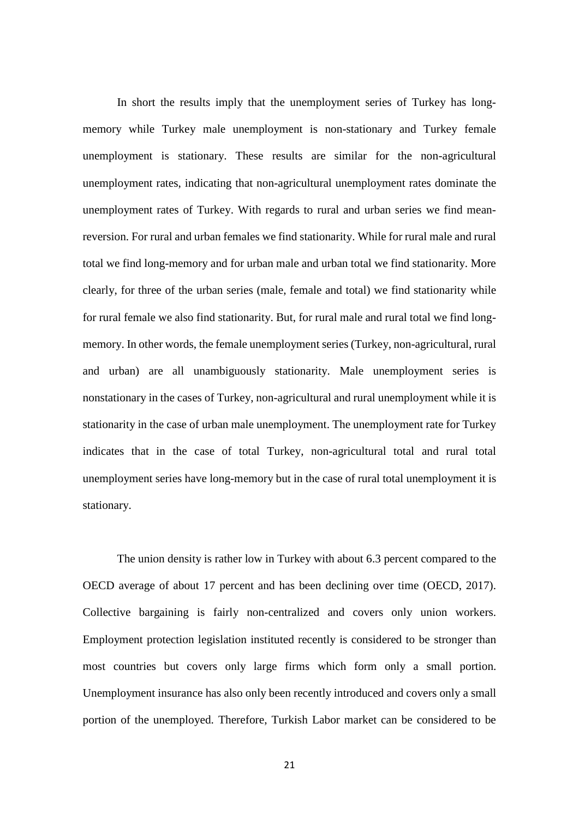In short the results imply that the unemployment series of Turkey has longmemory while Turkey male unemployment is non-stationary and Turkey female unemployment is stationary. These results are similar for the non-agricultural unemployment rates, indicating that non-agricultural unemployment rates dominate the unemployment rates of Turkey. With regards to rural and urban series we find meanreversion. For rural and urban females we find stationarity. While for rural male and rural total we find long-memory and for urban male and urban total we find stationarity. More clearly, for three of the urban series (male, female and total) we find stationarity while for rural female we also find stationarity. But, for rural male and rural total we find longmemory. In other words, the female unemployment series (Turkey, non-agricultural, rural and urban) are all unambiguously stationarity. Male unemployment series is nonstationary in the cases of Turkey, non-agricultural and rural unemployment while it is stationarity in the case of urban male unemployment. The unemployment rate for Turkey indicates that in the case of total Turkey, non-agricultural total and rural total unemployment series have long-memory but in the case of rural total unemployment it is stationary.

The union density is rather low in Turkey with about 6.3 percent compared to the OECD average of about 17 percent and has been declining over time (OECD, 2017). Collective bargaining is fairly non-centralized and covers only union workers. Employment protection legislation instituted recently is considered to be stronger than most countries but covers only large firms which form only a small portion. Unemployment insurance has also only been recently introduced and covers only a small portion of the unemployed. Therefore, Turkish Labor market can be considered to be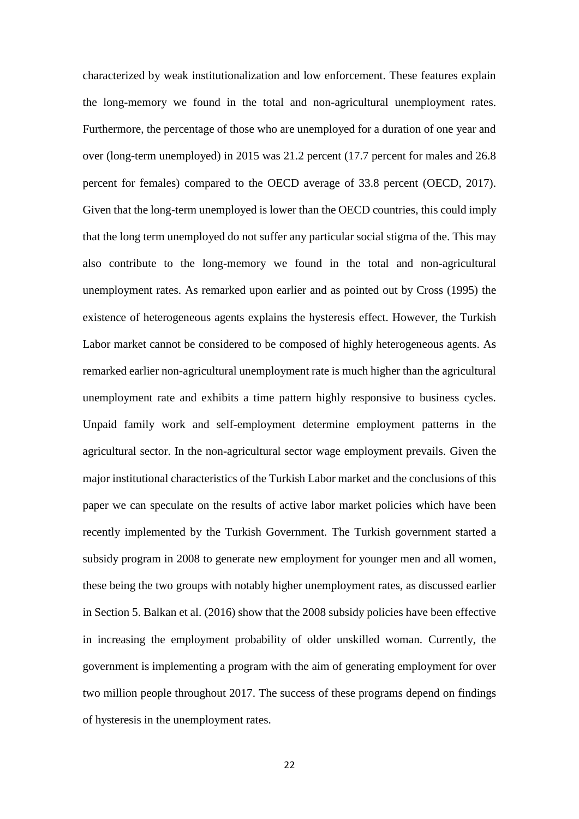characterized by weak institutionalization and low enforcement. These features explain the long-memory we found in the total and non-agricultural unemployment rates. Furthermore, the percentage of those who are unemployed for a duration of one year and over (long-term unemployed) in 2015 was 21.2 percent (17.7 percent for males and 26.8 percent for females) compared to the OECD average of 33.8 percent (OECD, 2017). Given that the long-term unemployed is lower than the OECD countries, this could imply that the long term unemployed do not suffer any particular social stigma of the. This may also contribute to the long-memory we found in the total and non-agricultural unemployment rates. As remarked upon earlier and as pointed out by Cross (1995) the existence of heterogeneous agents explains the hysteresis effect. However, the Turkish Labor market cannot be considered to be composed of highly heterogeneous agents. As remarked earlier non-agricultural unemployment rate is much higher than the agricultural unemployment rate and exhibits a time pattern highly responsive to business cycles. Unpaid family work and self-employment determine employment patterns in the agricultural sector. In the non-agricultural sector wage employment prevails. Given the major institutional characteristics of the Turkish Labor market and the conclusions of this paper we can speculate on the results of active labor market policies which have been recently implemented by the Turkish Government. The Turkish government started a subsidy program in 2008 to generate new employment for younger men and all women, these being the two groups with notably higher unemployment rates, as discussed earlier in Section 5. Balkan et al. (2016) show that the 2008 subsidy policies have been effective in increasing the employment probability of older unskilled woman. Currently, the government is implementing a program with the aim of generating employment for over two million people throughout 2017. The success of these programs depend on findings of hysteresis in the unemployment rates.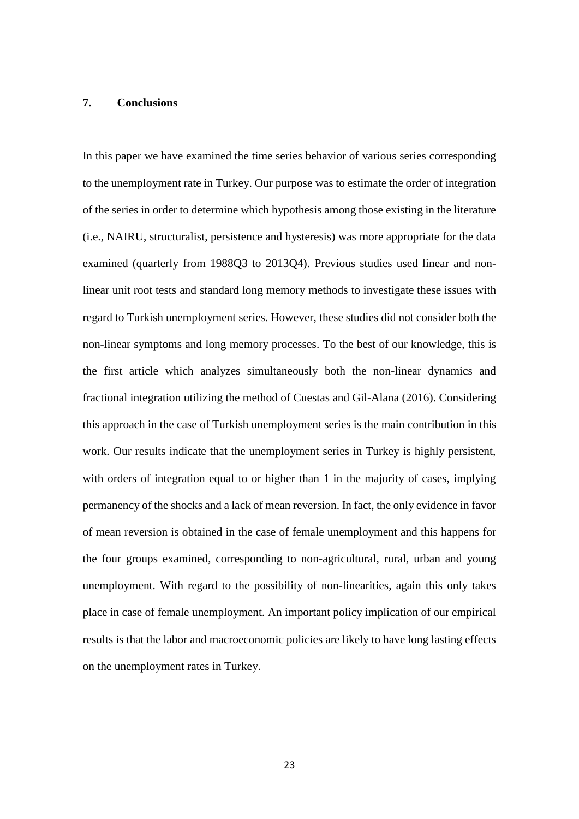#### **7. Conclusions**

In this paper we have examined the time series behavior of various series corresponding to the unemployment rate in Turkey. Our purpose was to estimate the order of integration of the series in order to determine which hypothesis among those existing in the literature (i.e., NAIRU, structuralist, persistence and hysteresis) was more appropriate for the data examined (quarterly from 1988Q3 to 2013Q4). Previous studies used linear and nonlinear unit root tests and standard long memory methods to investigate these issues with regard to Turkish unemployment series. However, these studies did not consider both the non-linear symptoms and long memory processes. To the best of our knowledge, this is the first article which analyzes simultaneously both the non-linear dynamics and fractional integration utilizing the method of Cuestas and Gil-Alana (2016). Considering this approach in the case of Turkish unemployment series is the main contribution in this work. Our results indicate that the unemployment series in Turkey is highly persistent, with orders of integration equal to or higher than 1 in the majority of cases, implying permanency of the shocks and a lack of mean reversion. In fact, the only evidence in favor of mean reversion is obtained in the case of female unemployment and this happens for the four groups examined, corresponding to non-agricultural, rural, urban and young unemployment. With regard to the possibility of non-linearities, again this only takes place in case of female unemployment. An important policy implication of our empirical results is that the labor and macroeconomic policies are likely to have long lasting effects on the unemployment rates in Turkey.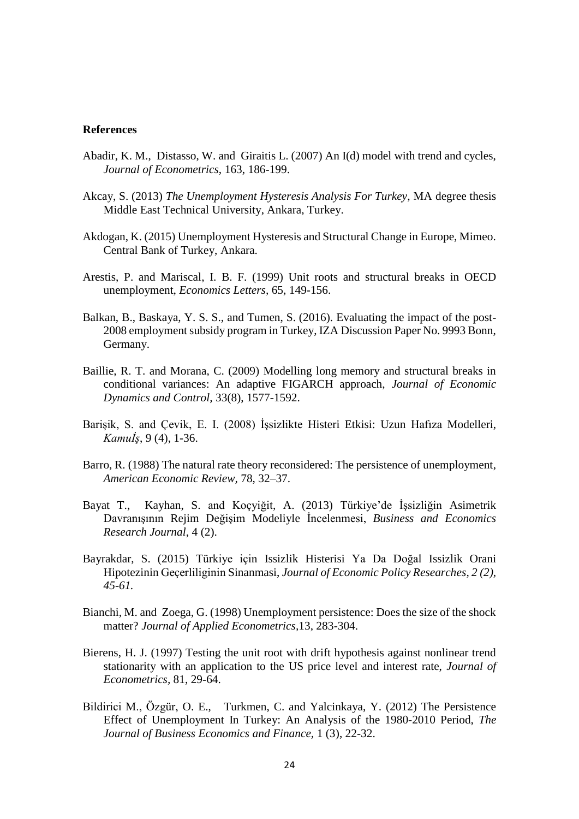#### **References**

- Abadir, K. M., Distasso, W. and Giraitis L. (2007) An I(d) model with trend and cycles, *Journal of Econometrics*, 163, 186-199.
- Akcay, S. (2013) *The Unemployment Hysteresis Analysis For Turkey*, MA degree thesis Middle East Technical University, Ankara, Turkey.
- Akdogan, K. (2015) Unemployment Hysteresis and Structural Change in Europe, Mimeo. Central Bank of Turkey, Ankara.
- Arestis, P. and Mariscal, I. B. F. (1999) Unit roots and structural breaks in OECD unemployment, *Economics Letters,* 65, 149-156.
- Balkan, B., Baskaya, Y. S. S., and Tumen, S. (2016). Evaluating the impact of the post-2008 employment subsidy program in Turkey, IZA Discussion Paper No. 9993 Bonn, Germany.
- Baillie, R. T. and Morana, C. (2009) Modelling long memory and structural breaks in conditional variances: An adaptive FIGARCH approach, *Journal of Economic Dynamics and Control,* 33(8), 1577-1592.
- Barişik, S. and Çevik, E. I. (2008) İşsizlikte Histeri Etkisi: Uzun Hafıza Modelleri, *Kamuİş*, 9 (4), 1-36.
- Barro, R. (1988) The natural rate theory reconsidered: The persistence of unemployment, *American Economic Review,* 78, 32–37.
- Bayat T., Kayhan, S. and Koçyiğit, A. (2013) Türkiye'de İşsizliğin Asimetrik Davranışının Rejim Değişim Modeliyle İncelenmesi, *Business and Economics Research Journal*, 4 (2).
- Bayrakdar, S. (2015) Türkiye için Issizlik Histerisi Ya Da Doğal Issizlik Orani Hipotezinin Geçerliliginin Sinanmasi, *Journal of Economic Policy Researches, 2 (2), 45-61.*
- Bianchi, M. and Zoega, G. (1998) Unemployment persistence: Does the size of the shock matter? *Journal of Applied Econometrics,*13, 283-304.
- Bierens, H. J. (1997) Testing the unit root with drift hypothesis against nonlinear trend stationarity with an application to the US price level and interest rate, *Journal of Econometrics,* 81, 29-64.
- Bildirici M., Özgür, O. E., Turkmen, C. and Yalcinkaya, Y. (2012) The Persistence Effect of Unemployment In Turkey: An Analysis of the 1980-2010 Period, *The Journal of Business Economics and Finance,* 1 (3), 22-32.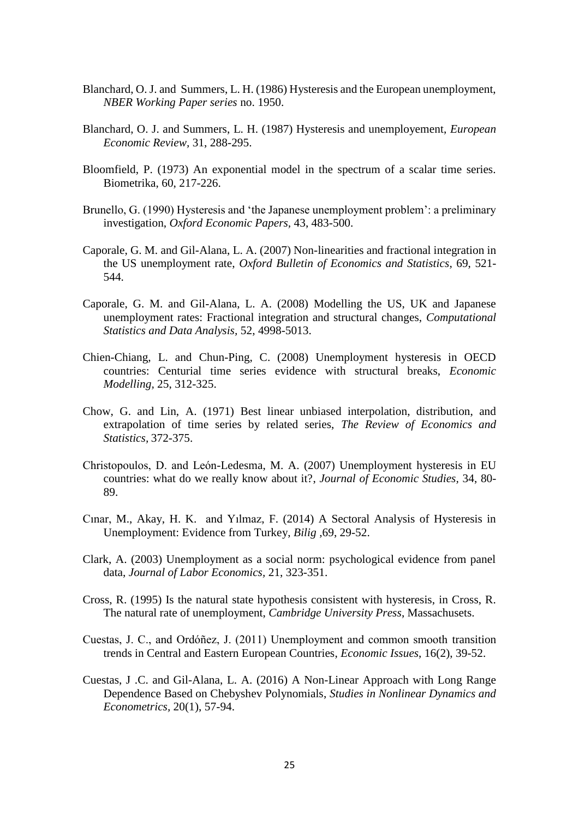- Blanchard, O. J. and Summers, L. H. (1986) Hysteresis and the European unemployment, *NBER Working Paper series* no. 1950.
- Blanchard, O. J. and Summers, L. H. (1987) Hysteresis and unemployement, *European Economic Review,* 31, 288-295.
- Bloomfield, P. (1973) An exponential model in the spectrum of a scalar time series. Biometrika, 60, 217-226.
- Brunello, G. (1990) Hysteresis and 'the Japanese unemployment problem': a preliminary investigation, *Oxford Economic Papers,* 43, 483-500.
- Caporale, G. M. and Gil-Alana, L. A. (2007) Non-linearities and fractional integration in the US unemployment rate, *Oxford Bulletin of Economics and Statistics,* 69, 521- 544.
- Caporale, G. M. and Gil-Alana, L. A. (2008) Modelling the US, UK and Japanese unemployment rates: Fractional integration and structural changes, *Computational Statistics and Data Analysis,* 52, 4998-5013.
- Chien-Chiang, L. and Chun-Ping, C. (2008) Unemployment hysteresis in OECD countries: Centurial time series evidence with structural breaks, *Economic Modelling,* 25, 312-325.
- Chow, G. and Lin, A. (1971) Best linear unbiased interpolation, distribution, and extrapolation of time series by related series, *The Review of Economics and Statistics,* 372-375.
- Christopoulos, D. and León-Ledesma, M. A. (2007) Unemployment hysteresis in EU countries: what do we really know about it?, *Journal of Economic Studies,* 34, 80- 89.
- Cınar, M., Akay, H. K. and Yılmaz, F. (2014) A Sectoral Analysis of Hysteresis in Unemployment: Evidence from Turkey, *Bilig ,*69, 29-52.
- Clark, A. (2003) Unemployment as a social norm: psychological evidence from panel data, *Journal of Labor Economics,* 21, 323-351.
- Cross, R. (1995) Is the natural state hypothesis consistent with hysteresis, in Cross, R. The natural rate of unemployment, *Cambridge University Press*, Massachusets.
- Cuestas, J. C., and Ordóñez, J. (2011) Unemployment and common smooth transition trends in Central and Eastern European Countries, *Economic Issues*, 16(2), 39-52.
- Cuestas, J .C. and Gil-Alana, L. A. (2016) [A Non-Linear Approach with Long Range](http://ideas.repec.org/p/shf/wpaper/2012013.html)  [Dependence Based on Chebyshev Polynomials,](http://ideas.repec.org/p/shf/wpaper/2012013.html) *Studies in Nonlinear Dynamics and Econometrics,* 20(1), 57-94.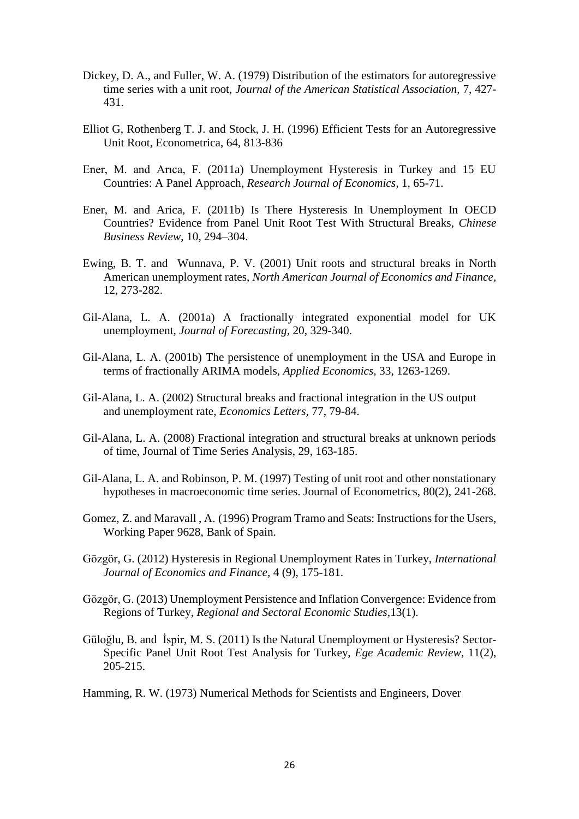- Dickey, D. A., and Fuller, W. A. (1979) Distribution of the estimators for autoregressive time series with a unit root, *Journal of the American Statistical Association,* 7, 427- 431.
- Elliot G, Rothenberg T. J. and Stock, J. H. (1996) Efficient Tests for an Autoregressive Unit Root, Econometrica, 64, 813-836
- Ener, M. and Arıca, F. (2011a) Unemployment Hysteresis in Turkey and 15 EU Countries: A Panel Approach, *Research Journal of Economics,* 1, 65-71.
- Ener, M. and Arica, F. (2011b) Is There Hysteresis In Unemployment In OECD Countries? Evidence from Panel Unit Root Test With Structural Breaks, *Chinese Business Review*, 10, 294–304.
- Ewing, B. T. and Wunnava, P. V. (2001) Unit roots and structural breaks in North American unemployment rates, *North American Journal of Economics and Finance,* 12, 273-282.
- Gil-Alana, L. A. (2001a) A fractionally integrated exponential model for UK unemployment, *Journal of Forecasting,* 20, 329-340.
- Gil-Alana, L. A. (2001b) The persistence of unemployment in the USA and Europe in terms of fractionally ARIMA models, *Applied Economics,* 33, 1263-1269.
- Gil-Alana, L. A. (2002) Structural breaks and fractional integration in the US output and unemployment rate, *Economics Letters,* 77, 79-84.
- Gil-Alana, L. A. (2008) Fractional integration and structural breaks at unknown periods of time, Journal of Time Series Analysis, 29, 163-185.
- Gil-Alana, L. A. and Robinson, P. M. (1997) Testing of unit root and other nonstationary hypotheses in macroeconomic time series. Journal of Econometrics, 80(2), 241-268.
- Gomez, Z. and Maravall , A. (1996) Program Tramo and Seats: Instructions for the Users, Working Paper 9628, Bank of Spain.
- Gözgör, G. (2012) Hysteresis in Regional Unemployment Rates in Turkey, *International Journal of Economics and Finance*, 4 (9), 175-181.
- Gözgör, G. (2013) Unemployment Persistence and Inflation Convergence: Evidence from Regions of Turkey, *Regional and Sectoral Economic Studies,*13(1).
- Güloğlu, B. and İspir, M. S. (2011) Is the Natural Unemployment or Hysteresis? Sector-Specific Panel Unit Root Test Analysis for Turkey, *Ege Academic Review*, 11(2), 205-215.

Hamming, R. W. (1973) Numerical Methods for Scientists and Engineers, Dover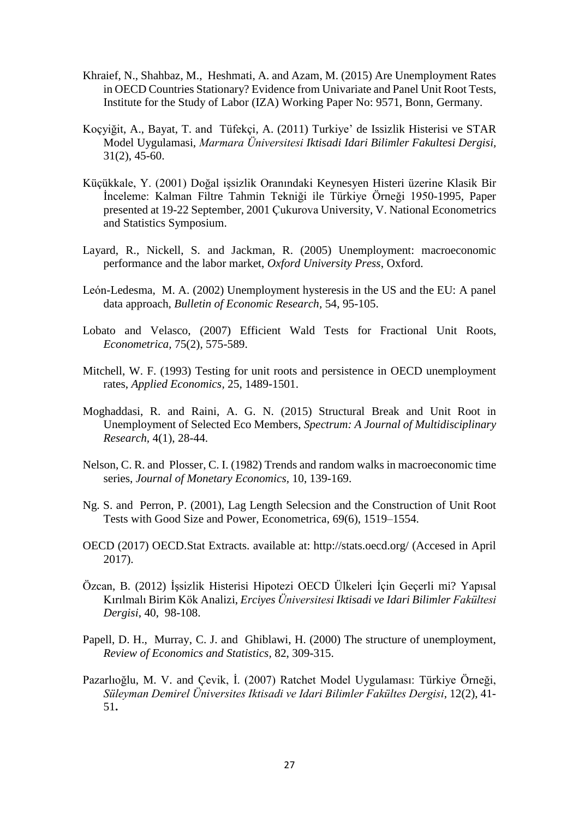- Khraief, N., Shahbaz, M., Heshmati, A. and Azam, M. (2015) Are Unemployment Rates in OECD Countries Stationary? Evidence from Univariate and Panel Unit Root Tests, Institute for the Study of Labor (IZA) Working Paper No: 9571, Bonn, Germany.
- Koçyiğit, A., Bayat, T. and Tüfekçi, A. (2011) Turkiye' de Issizlik Histerisi ve STAR Model Uygulamasi, *Marmara Üniversitesi Iktisadi Idari Bilimler Fakultesi Dergisi,* 31(2), 45-60.
- Küçükkale, Y. (2001) Doğal işsizlik Oranındaki Keynesyen Histeri üzerine Klasik Bir İnceleme: Kalman Filtre Tahmin Tekniği ile Türkiye Örneği 1950-1995, Paper presented at 19-22 September, 2001 Çukurova University, V. National Econometrics and Statistics Symposium.
- Layard, R., Nickell, S. and Jackman, R. (2005) Unemployment: macroeconomic performance and the labor market, *Oxford University Press*, Oxford.
- León-Ledesma, M. A. (2002) Unemployment hysteresis in the US and the EU: A panel data approach, *Bulletin of Economic Research,* 54, 95-105.
- Lobato and Velasco, (2007) [Efficient Wald Tests for Fractional Unit Roots,](http://ideas.repec.org/a/ecm/emetrp/v75y2007i2p575-589.html) *[Econometrica,](http://ideas.repec.org/s/ecm/emetrp.html)* 75(2), 575-589.
- Mitchell, W. F. (1993) Testing for unit roots and persistence in OECD unemployment rates, *Applied Economics,* 25, 1489-1501.
- Moghaddasi, R. and Raini, A. G. N. (2015) Structural Break and Unit Root in Unemployment of Selected Eco Members, *Spectrum: A Journal of Multidisciplinary Research,* 4(1), 28-44.
- Nelson, C. R. and Plosser, C. I. (1982) Trends and random walks in macroeconomic time series, *Journal of Monetary Economics,* 10, 139-169.
- Ng. S. and Perron, P. (2001), Lag Length Selecsion and the Construction of Unit Root Tests with Good Size and Power, Econometrica, 69(6), 1519–1554.
- OECD (2017) OECD.Stat Extracts. available at: http://stats.oecd.org/ (Accesed in April 2017).
- Özcan, B. (2012) İşsizlik Histerisi Hipotezi OECD Ülkeleri İçin Geçerli mi? Yapısal Kırılmalı Birim Kök Analizi, *Erciyes Üniversitesi Iktisadi ve Idari Bilimler Fakültesi Dergisi*, 40, 98-108.
- Papell, D. H., Murray, C. J. and Ghiblawi, H. (2000) The structure of unemployment, *Review of Economics and Statistics,* 82, 309-315.
- Pazarlıoğlu, M. V. and Çevik, İ. (2007) Ratchet Model Uygulaması: Türkiye Örneği, *Süleyman Demirel Üniversites Iktisadi ve Idari Bilimler Fakültes Dergisi*, 12(2), 41- 51**.**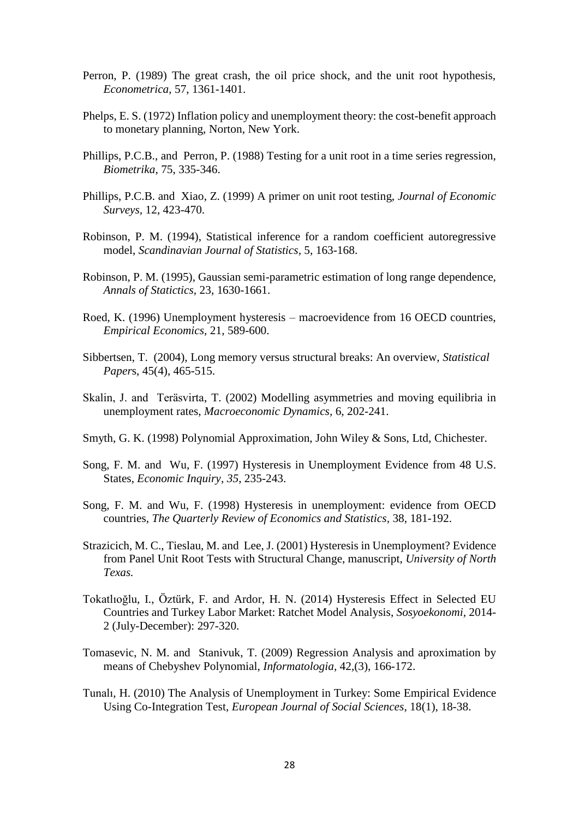- Perron, P. (1989) The great crash, the oil price shock, and the unit root hypothesis, *Econometrica,* 57, 1361-1401.
- Phelps, E. S. (1972) Inflation policy and unemployment theory: the cost-benefit approach to monetary planning, Norton, New York.
- Phillips, P.C.B., and Perron, P. (1988) Testing for a unit root in a time series regression, *Biometrika,* 75, 335-346.
- Phillips, P.C.B. and Xiao, Z. (1999) A primer on unit root testing, *Journal of Economic Surveys,* 12, 423-470.
- Robinson, P. M. (1994), Statistical inference for a random coefficient autoregressive model, *Scandinavian Journal of Statistics,* 5, 163-168.
- Robinson, P. M. (1995), Gaussian semi-parametric estimation of long range dependence, *Annals of Statictics,* 23, 1630-1661.
- Roed, K. (1996) Unemployment hysteresis macroevidence from 16 OECD countries, *Empirical Economics,* 21, 589-600.
- Sibbertsen, T. (2004), Long memory versus structural breaks: An overview, *Statistical Paper*s, 45(4), 465-515.
- Skalin, J. and Teräsvirta, T. (2002) Modelling asymmetries and moving equilibria in unemployment rates, *Macroeconomic Dynamics,* 6, 202-241.
- Smyth, G. K. (1998) Polynomial Approximation, John Wiley & Sons, Ltd, Chichester.
- Song, F. M. and Wu, F. (1997) Hysteresis in Unemployment Evidence from 48 U.S. States, *Economic Inquiry, 35*, 235-243.
- Song, F. M. and Wu, F. (1998) Hysteresis in unemployment: evidence from OECD countries, *The Quarterly Review of Economics and Statistics,* 38, 181-192.
- Strazicich, M. C., Tieslau, M. and Lee, J. (2001) Hysteresis in Unemployment? Evidence from Panel Unit Root Tests with Structural Change, manuscript, *University of North Texas.*
- Tokatlıoğlu, I., Öztürk, F. and Ardor, H. N. (2014) Hysteresis Effect in Selected EU Countries and Turkey Labor Market: Ratchet Model Analysis, *Sosyoekonomi,* 2014- 2 (July-December): 297-320.
- Tomasevic, N. M. and Stanivuk, T. (2009) Regression Analysis and aproximation by means of Chebyshev Polynomial, *Informatologia,* 42,(3), 166-172.
- Tunalı, H. (2010) The Analysis of Unemployment in Turkey: Some Empirical Evidence Using Co-Integration Test, *European Journal of Social Sciences*, 18(1), 18-38.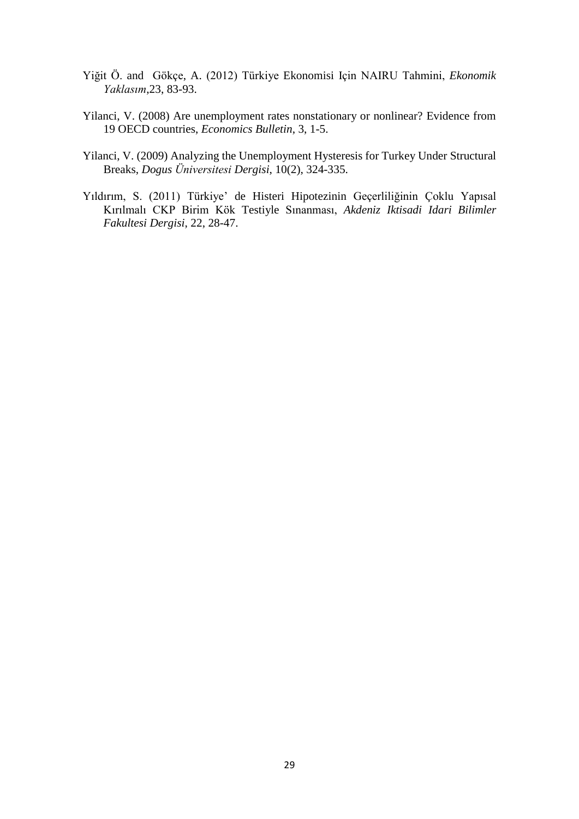- Yiğit Ö. and Gökçe, A. (2012) Türkiye Ekonomisi Için NAIRU Tahmini, *Ekonomik Yaklasım*,23, 83-93.
- Yilanci, V. (2008) Are unemployment rates nonstationary or nonlinear? Evidence from 19 OECD countries, *Economics Bulletin*, 3, 1-5.
- Yilanci, V. (2009) Analyzing the Unemployment Hysteresis for Turkey Under Structural Breaks, *Dogus Üniversitesi Dergisi*, 10(2), 324-335.
- Yıldırım, S. (2011) Türkiye' de Histeri Hipotezinin Geçerliliğinin Çoklu Yapısal Kırılmalı CKP Birim Kök Testiyle Sınanması, *Akdeniz Iktisadi Idari Bilimler Fakultesi Dergisi*, 22, 28-47.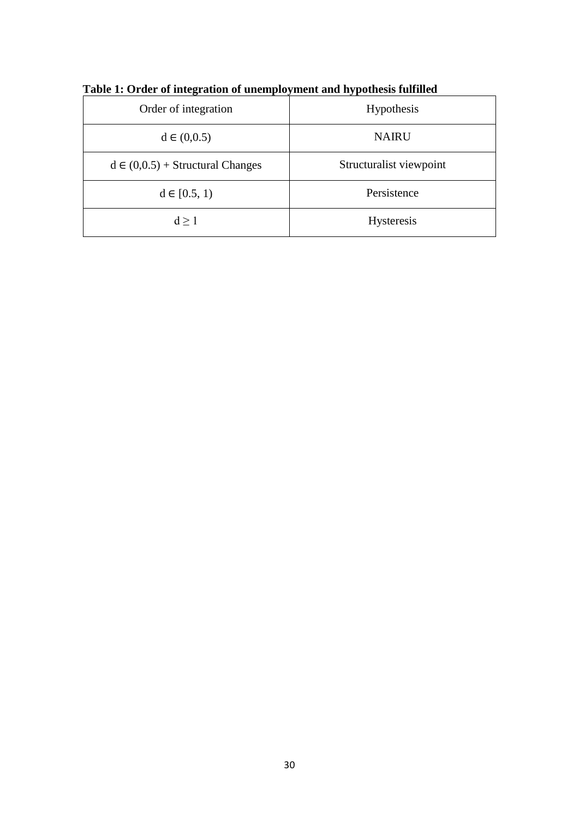| Order of integration                 | Hypothesis              |
|--------------------------------------|-------------------------|
| $d \in (0,0.5)$                      | <b>NAIRU</b>            |
| $d \in (0,0.5) + Structural Changes$ | Structuralist viewpoint |
| $d \in [0.5, 1)$                     | Persistence             |
| $d \geq 1$                           | Hysteresis              |

**Table 1: Order of integration of unemployment and hypothesis fulfilled**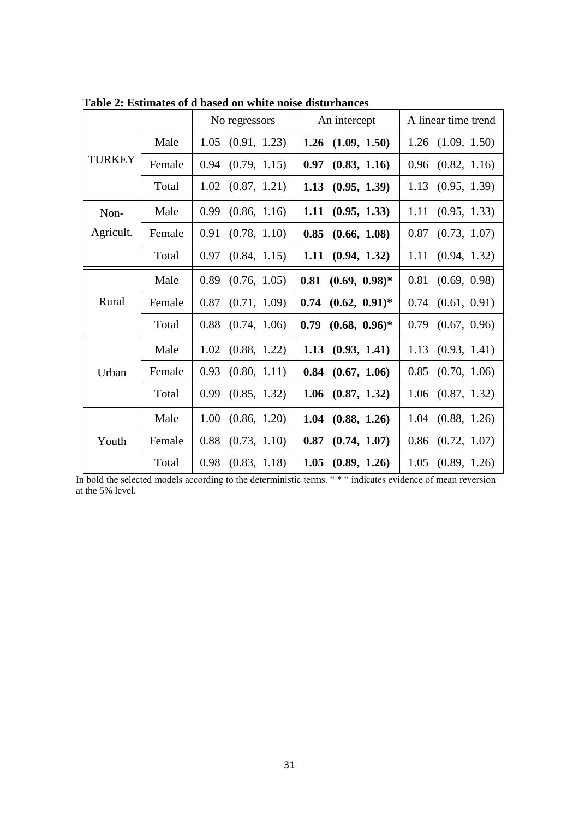|               |        | No regressors        | An intercept             | A linear time trend   |
|---------------|--------|----------------------|--------------------------|-----------------------|
|               | Male   | 1.05<br>(0.91, 1.23) | 1.26<br>(1.09, 1.50)     | $1.26$ $(1.09, 1.50)$ |
| <b>TURKEY</b> | Female | 0.94<br>(0.79, 1.15) | 0.97<br>(0.83, 1.16)     | 0.96<br>(0.82, 1.16)  |
|               | Total  | 1.02<br>(0.87, 1.21) | 1.13<br>(0.95, 1.39)     | 1.13<br>(0.95, 1.39)  |
| Non-          | Male   | 0.99<br>(0.86, 1.16) | 1.11<br>(0.95, 1.33)     | 1.11<br>(0.95, 1.33)  |
| Agricult.     | Female | (0.78, 1.10)<br>0.91 | 0.85<br>(0.66, 1.08)     | 0.87<br>(0.73, 1.07)  |
|               | Total  | 0.97<br>(0.84, 1.15) | (0.94, 1.32)<br>1.11     | 1.11<br>(0.94, 1.32)  |
|               | Male   | 0.89<br>(0.76, 1.05) | $0.81$ $(0.69, 0.98)$ *  | 0.81<br>(0.69, 0.98)  |
| Rural         | Female | 0.87<br>(0.71, 1.09) | 0.74<br>$(0.62, 0.91)^*$ | 0.74<br>(0.61, 0.91)  |
|               | Total  | 0.88<br>(0.74, 1.06) | 0.79<br>$(0.68, 0.96)^*$ | (0.67, 0.96)<br>0.79  |
|               | Male   | 1.02<br>(0.88, 1.22) | (0.93, 1.41)<br>1.13     | 1.13<br>(0.93, 1.41)  |
| Urban         | Female | (0.80, 1.11)<br>0.93 | 0.84<br>(0.67, 1.06)     | 0.85<br>(0.70, 1.06)  |
|               | Total  | 0.99<br>(0.85, 1.32) | 1.06<br>(0.87, 1.32)     | (0.87, 1.32)<br>1.06  |
| Youth         | Male   | 1.00<br>(0.86, 1.20) | 1.04<br>(0.88, 1.26)     | 1.04<br>(0.88, 1.26)  |
|               | Female | 0.88<br>(0.73, 1.10) | 0.87<br>(0.74, 1.07)     | 0.86<br>(0.72, 1.07)  |
|               | Total  | 0.98<br>(0.83, 1.18) | 1.05<br>(0.89, 1.26)     | 1.05<br>(0.89, 1.26)  |

**Table 2: Estimates of d based on white noise disturbances** 

In bold the selected models according to the deterministic terms. " \* " indicates evidence of mean reversion at the 5% level.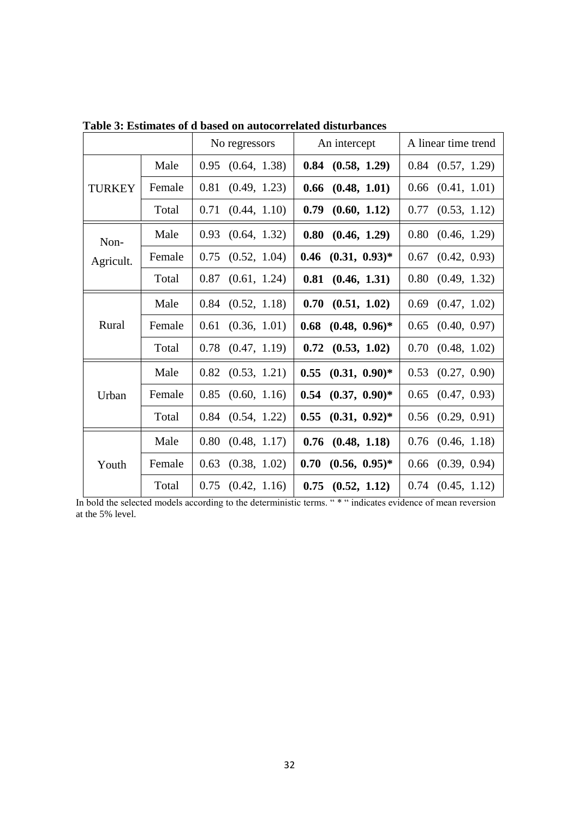|               |        | No regressors        | An intercept             | A linear time trend   |  |
|---------------|--------|----------------------|--------------------------|-----------------------|--|
|               | Male   | (0.64, 1.38)<br>0.95 | 0.84<br>(0.58, 1.29)     | $0.84$ $(0.57, 1.29)$ |  |
| <b>TURKEY</b> | Female | 0.81<br>(0.49, 1.23) | 0.66<br>(0.48, 1.01)     | (0.41, 1.01)<br>0.66  |  |
|               | Total  | 0.71<br>(0.44, 1.10) | 0.79<br>(0.60, 1.12)     | 0.77<br>(0.53, 1.12)  |  |
| Non-          | Male   | 0.93<br>(0.64, 1.32) | 0.80<br>(0.46, 1.29)     | 0.80<br>(0.46, 1.29)  |  |
| Agricult.     | Female | 0.75<br>(0.52, 1.04) | $(0.31, 0.93)^*$<br>0.46 | 0.67<br>(0.42, 0.93)  |  |
|               | Total  | 0.87<br>(0.61, 1.24) | 0.81<br>(0.46, 1.31)     | 0.80<br>(0.49, 1.32)  |  |
|               | Male   | 0.84<br>(0.52, 1.18) | 0.70<br>(0.51, 1.02)     | 0.69<br>(0.47, 1.02)  |  |
| Rural         | Female | (0.36, 1.01)<br>0.61 | 0.68<br>$(0.48, 0.96)^*$ | 0.65<br>(0.40, 0.97)  |  |
|               | Total  | 0.78<br>(0.47, 1.19) | (0.53, 1.02)<br>0.72     | 0.70<br>(0.48, 1.02)  |  |
|               | Male   | 0.82<br>(0.53, 1.21) | 0.55<br>$(0.31, 0.90)^*$ | 0.53<br>(0.27, 0.90)  |  |
| Urban         | Female | 0.85<br>(0.60, 1.16) | 0.54<br>$(0.37, 0.90)^*$ | 0.65<br>(0.47, 0.93)  |  |
|               | Total  | 0.84<br>(0.54, 1.22) | 0.55<br>$(0.31, 0.92)^*$ | (0.29, 0.91)<br>0.56  |  |
|               | Male   | 0.80<br>(0.48, 1.17) | 0.76<br>(0.48, 1.18)     | 0.76<br>(0.46, 1.18)  |  |
| Youth         | Female | 0.63<br>(0.38, 1.02) | 0.70<br>$(0.56, 0.95)^*$ | (0.39, 0.94)<br>0.66  |  |
|               | Total  | 0.75<br>(0.42, 1.16) | 0.75<br>(0.52, 1.12)     | $0.74$ $(0.45, 1.12)$ |  |

**Table 3: Estimates of d based on autocorrelated disturbances** 

In bold the selected models according to the deterministic terms. " \* " indicates evidence of mean reversion at the 5% level.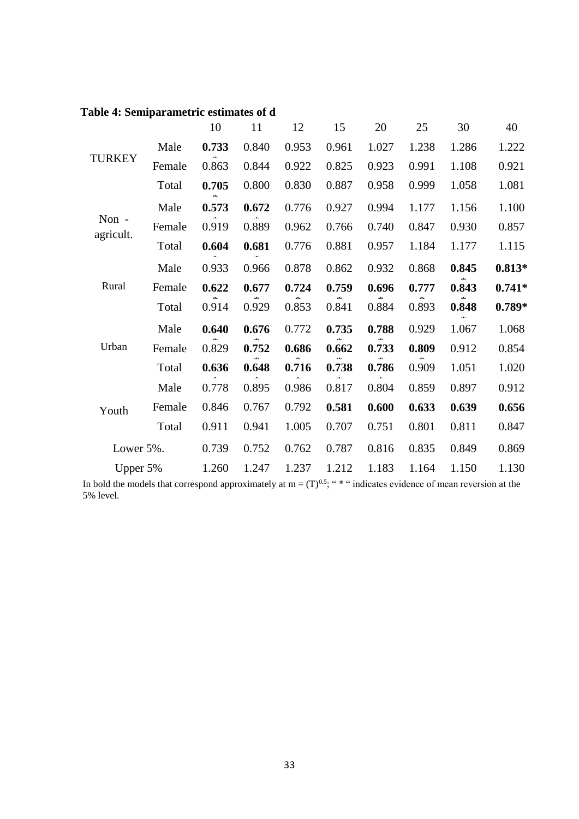|                    |        | 10    | 11    | 12    | 15    | 20    | 25    | 30    | 40       |
|--------------------|--------|-------|-------|-------|-------|-------|-------|-------|----------|
| <b>TURKEY</b>      | Male   | 0.733 | 0.840 | 0.953 | 0.961 | 1.027 | 1.238 | 1.286 | 1.222    |
|                    | Female | 0.863 | 0.844 | 0.922 | 0.825 | 0.923 | 0.991 | 1.108 | 0.921    |
|                    | Total  | 0.705 | 0.800 | 0.830 | 0.887 | 0.958 | 0.999 | 1.058 | 1.081    |
|                    | Male   | 0.573 | 0.672 | 0.776 | 0.927 | 0.994 | 1.177 | 1.156 | 1.100    |
| Non -<br>agricult. | Female | 0.919 | 0.889 | 0.962 | 0.766 | 0.740 | 0.847 | 0.930 | 0.857    |
|                    | Total  | 0.604 | 0.681 | 0.776 | 0.881 | 0.957 | 1.184 | 1.177 | 1.115    |
|                    | Male   | 0.933 | 0.966 | 0.878 | 0.862 | 0.932 | 0.868 | 0.845 | $0.813*$ |
| Rural              | Female | 0.622 | 0.677 | 0.724 | 0.759 | 0.696 | 0.777 | 0.843 | $0.741*$ |
|                    | Total  | 0.914 | 0.929 | 0.853 | 0.841 | 0.884 | 0.893 | 0.848 | $0.789*$ |
|                    | Male   | 0.640 | 0.676 | 0.772 | 0.735 | 0.788 | 0.929 | 1.067 | 1.068    |
| Urban              | Female | 0.829 | 0.752 | 0.686 | 0.662 | 0.733 | 0.809 | 0.912 | 0.854    |
|                    | Total  | 0.636 | 0.648 | 0.716 | 0.738 | 0.786 | 0.909 | 1.051 | 1.020    |
| Youth              | Male   | 0.778 | 0.895 | 0.986 | 0.817 | 0.804 | 0.859 | 0.897 | 0.912    |
|                    | Female | 0.846 | 0.767 | 0.792 | 0.581 | 0.600 | 0.633 | 0.639 | 0.656    |
|                    | Total  | 0.911 | 0.941 | 1.005 | 0.707 | 0.751 | 0.801 | 0.811 | 0.847    |
| Lower 5%.          |        | 0.739 | 0.752 | 0.762 | 0.787 | 0.816 | 0.835 | 0.849 | 0.869    |
| Upper 5%           |        | 1.260 | 1.247 | 1.237 | 1.212 | 1.183 | 1.164 | 1.150 | 1.130    |

# **Table 4: Semiparametric estimates of d**

In bold the models that correspond approximately at  $m = (T)^{0.5}$ ; "\*" indicates evidence of mean reversion at the 5% level.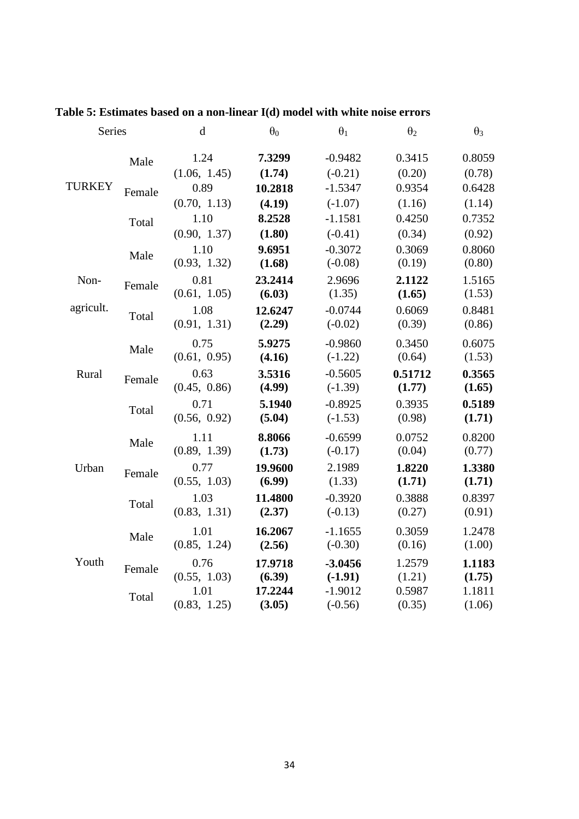| Series        |        | $\mathbf d$  | $\theta_0$ | $\theta_1$ | $\theta_2$ | $\theta_3$ |
|---------------|--------|--------------|------------|------------|------------|------------|
|               | Male   | 1.24         | 7.3299     | $-0.9482$  | 0.3415     | 0.8059     |
|               |        | (1.06, 1.45) | (1.74)     | $(-0.21)$  | (0.20)     | (0.78)     |
| <b>TURKEY</b> | Female | 0.89         | 10.2818    | $-1.5347$  | 0.9354     | 0.6428     |
|               |        | (0.70, 1.13) | (4.19)     | $(-1.07)$  | (1.16)     | (1.14)     |
|               | Total  | 1.10         | 8.2528     | $-1.1581$  | 0.4250     | 0.7352     |
|               |        | (0.90, 1.37) | (1.80)     | $(-0.41)$  | (0.34)     | (0.92)     |
|               | Male   | 1.10         | 9.6951     | $-0.3072$  | 0.3069     | 0.8060     |
|               |        | (0.93, 1.32) | (1.68)     | $(-0.08)$  | (0.19)     | (0.80)     |
| Non-          | Female | 0.81         | 23.2414    | 2.9696     | 2.1122     | 1.5165     |
|               |        | (0.61, 1.05) | (6.03)     | (1.35)     | (1.65)     | (1.53)     |
| agricult.     | Total  | 1.08         | 12.6247    | $-0.0744$  | 0.6069     | 0.8481     |
|               |        | (0.91, 1.31) | (2.29)     | $(-0.02)$  | (0.39)     | (0.86)     |
|               | Male   | 0.75         | 5.9275     | $-0.9860$  | 0.3450     | 0.6075     |
|               |        | (0.61, 0.95) | (4.16)     | $(-1.22)$  | (0.64)     | (1.53)     |
| Rural         | Female | 0.63         | 3.5316     | $-0.5605$  | 0.51712    | 0.3565     |
|               |        | (0.45, 0.86) | (4.99)     | $(-1.39)$  | (1.77)     | (1.65)     |
|               | Total  | 0.71         | 5.1940     | $-0.8925$  | 0.3935     | 0.5189     |
|               |        | (0.56, 0.92) | (5.04)     | $(-1.53)$  | (0.98)     | (1.71)     |
|               | Male   | 1.11         | 8.8066     | $-0.6599$  | 0.0752     | 0.8200     |
|               |        | (0.89, 1.39) | (1.73)     | $(-0.17)$  | (0.04)     | (0.77)     |
| Urban         | Female | 0.77         | 19.9600    | 2.1989     | 1.8220     | 1.3380     |
|               |        | (0.55, 1.03) | (6.99)     | (1.33)     | (1.71)     | (1.71)     |
|               | Total  | 1.03         | 11.4800    | $-0.3920$  | 0.3888     | 0.8397     |
|               |        | (0.83, 1.31) | (2.37)     | $(-0.13)$  | (0.27)     | (0.91)     |
|               |        | 1.01         | 16.2067    | $-1.1655$  | 0.3059     | 1.2478     |
|               | Male   | (0.85, 1.24) | (2.56)     | $(-0.30)$  | (0.16)     | (1.00)     |
| Youth         | Female | 0.76         | 17.9718    | $-3.0456$  | 1.2579     | 1.1183     |
|               |        | (0.55, 1.03) | (6.39)     | $(-1.91)$  | (1.21)     | (1.75)     |
|               | Total  | 1.01         | 17.2244    | $-1.9012$  | 0.5987     | 1.1811     |
|               |        | (0.83, 1.25) | (3.05)     | $(-0.56)$  | (0.35)     | (1.06)     |

# **Table 5: Estimates based on a non-linear I(d) model with white noise errors**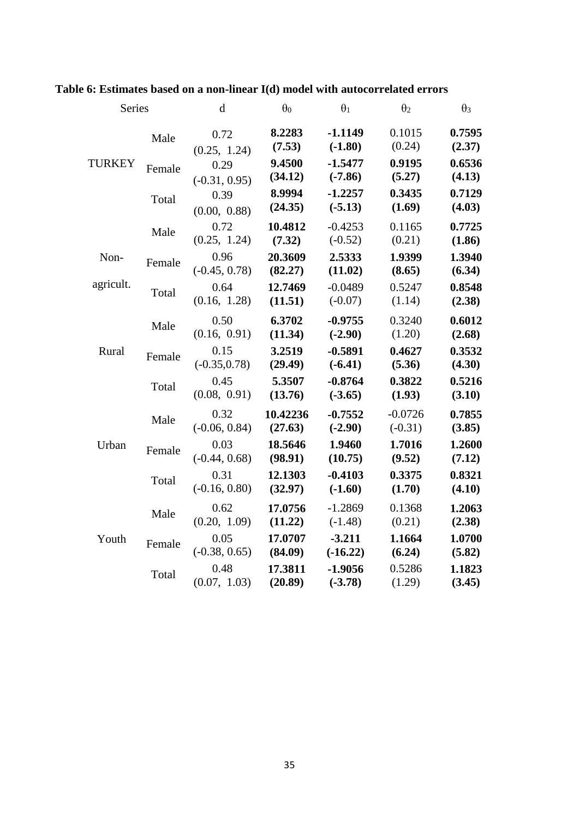| Series        |        | $\mathbf d$             | $\theta_0$          | $\theta_1$             | $\theta_2$             | $\theta_3$       |
|---------------|--------|-------------------------|---------------------|------------------------|------------------------|------------------|
|               | Male   | 0.72<br>(0.25, 1.24)    | 8.2283<br>(7.53)    | $-1.1149$<br>$(-1.80)$ | 0.1015<br>(0.24)       | 0.7595<br>(2.37) |
| <b>TURKEY</b> | Female | 0.29<br>$(-0.31, 0.95)$ | 9.4500<br>(34.12)   | $-1.5477$<br>$(-7.86)$ | 0.9195<br>(5.27)       | 0.6536<br>(4.13) |
|               | Total  | 0.39<br>(0.00, 0.88)    | 8.9994<br>(24.35)   | $-1.2257$<br>$(-5.13)$ | 0.3435<br>(1.69)       | 0.7129<br>(4.03) |
|               | Male   | 0.72<br>(0.25, 1.24)    | 10.4812<br>(7.32)   | $-0.4253$<br>$(-0.52)$ | 0.1165<br>(0.21)       | 0.7725<br>(1.86) |
| Non-          | Female | 0.96<br>$(-0.45, 0.78)$ | 20.3609<br>(82.27)  | 2.5333<br>(11.02)      | 1.9399<br>(8.65)       | 1.3940<br>(6.34) |
| agricult.     | Total  | 0.64<br>(0.16, 1.28)    | 12.7469<br>(11.51)  | $-0.0489$<br>$(-0.07)$ | 0.5247<br>(1.14)       | 0.8548<br>(2.38) |
|               | Male   | 0.50<br>(0.16, 0.91)    | 6.3702<br>(11.34)   | $-0.9755$<br>$(-2.90)$ | 0.3240<br>(1.20)       | 0.6012<br>(2.68) |
| Rural         | Female | 0.15<br>$(-0.35, 0.78)$ | 3.2519<br>(29.49)   | $-0.5891$<br>$(-6.41)$ | 0.4627<br>(5.36)       | 0.3532<br>(4.30) |
|               | Total  | 0.45<br>(0.08, 0.91)    | 5.3507<br>(13.76)   | $-0.8764$<br>$(-3.65)$ | 0.3822<br>(1.93)       | 0.5216<br>(3.10) |
|               | Male   | 0.32<br>$(-0.06, 0.84)$ | 10.42236<br>(27.63) | $-0.7552$<br>$(-2.90)$ | $-0.0726$<br>$(-0.31)$ | 0.7855<br>(3.85) |
| Urban         | Female | 0.03<br>$(-0.44, 0.68)$ | 18.5646<br>(98.91)  | 1.9460<br>(10.75)      | 1.7016<br>(9.52)       | 1.2600<br>(7.12) |
|               | Total  | 0.31<br>$(-0.16, 0.80)$ | 12.1303<br>(32.97)  | $-0.4103$<br>$(-1.60)$ | 0.3375<br>(1.70)       | 0.8321<br>(4.10) |
|               | Male   | 0.62<br>(0.20, 1.09)    | 17.0756<br>(11.22)  | $-1.2869$<br>$(-1.48)$ | 0.1368<br>(0.21)       | 1.2063<br>(2.38) |
| Youth         | Female | 0.05<br>$(-0.38, 0.65)$ | 17.0707<br>(84.09)  | $-3.211$<br>$(-16.22)$ | 1.1664<br>(6.24)       | 1.0700<br>(5.82) |
|               | Total  | 0.48<br>(0.07, 1.03)    | 17.3811<br>(20.89)  | $-1.9056$<br>$(-3.78)$ | 0.5286<br>(1.29)       | 1.1823<br>(3.45) |

# **Table 6: Estimates based on a non-linear I(d) model with autocorrelated errors**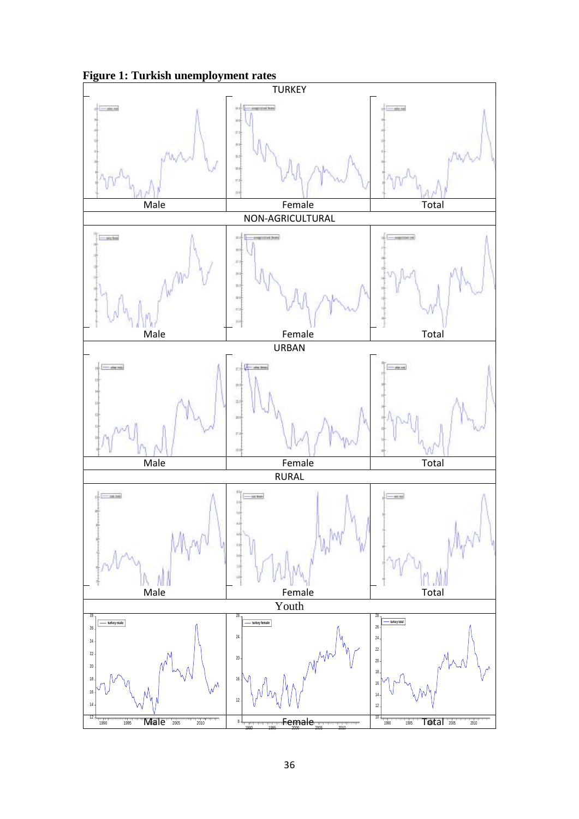

**Figure 1: Turkish unemployment rates**

1995 2000 2005 2010